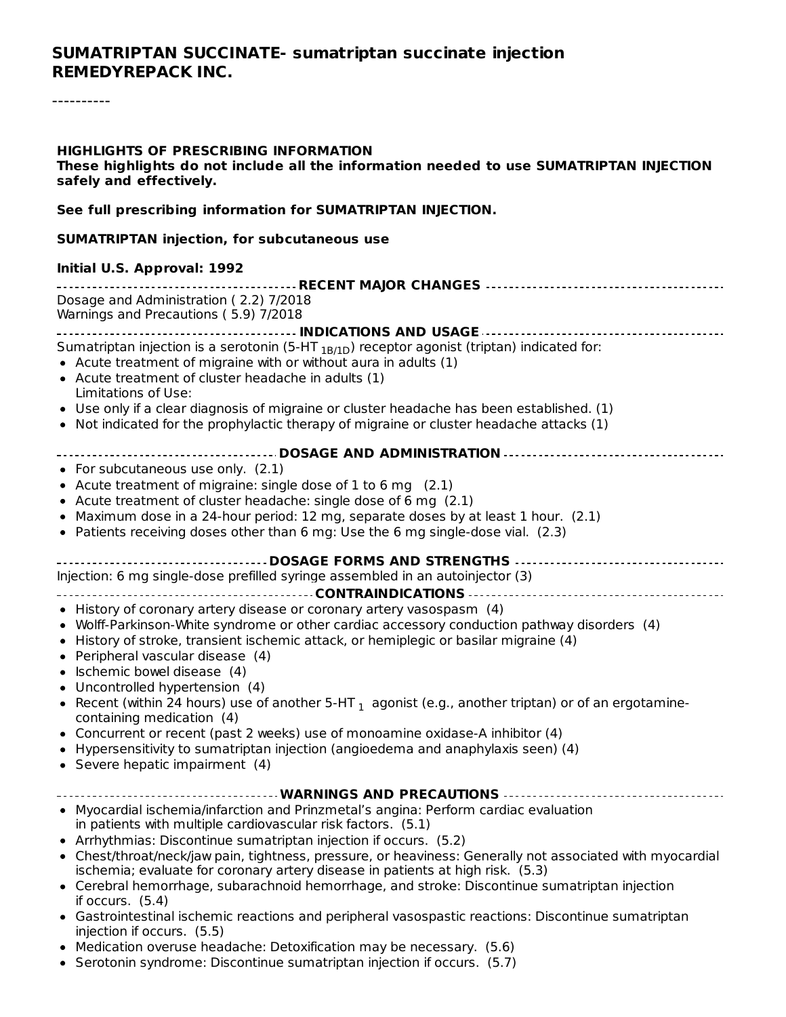----------

#### **HIGHLIGHTS OF PRESCRIBING INFORMATION**

**These highlights do not include all the information needed to use SUMATRIPTAN INJECTION safely and effectively.**

**See full prescribing information for SUMATRIPTAN INJECTION.**

#### **SUMATRIPTAN injection, for subcutaneous use**

#### **Initial U.S. Approval: 1992**

| Dosage and Administration (2.2) 7/2018                                                                                                                                                    |
|-------------------------------------------------------------------------------------------------------------------------------------------------------------------------------------------|
| Warnings and Precautions (5.9) 7/2018                                                                                                                                                     |
|                                                                                                                                                                                           |
| Sumatriptan injection is a serotonin (5-HT <sub>1B/1D</sub> ) receptor agonist (triptan) indicated for:                                                                                   |
| • Acute treatment of migraine with or without aura in adults (1)                                                                                                                          |
| • Acute treatment of cluster headache in adults (1)                                                                                                                                       |
| Limitations of Use:                                                                                                                                                                       |
| • Use only if a clear diagnosis of migraine or cluster headache has been established. (1)                                                                                                 |
| • Not indicated for the prophylactic therapy of migraine or cluster headache attacks (1)                                                                                                  |
| -------------------------------------DOSAGE AND ADMINISTRATION -----------------------------------                                                                                        |
| • For subcutaneous use only. (2.1)                                                                                                                                                        |
| • Acute treatment of migraine: single dose of 1 to 6 mg (2.1)                                                                                                                             |
| • Acute treatment of cluster headache: single dose of 6 mg (2.1)                                                                                                                          |
| • Maximum dose in a 24-hour period: 12 mg, separate doses by at least 1 hour. (2.1)                                                                                                       |
| • Patients receiving doses other than 6 mg: Use the 6 mg single-dose vial. (2.3)                                                                                                          |
|                                                                                                                                                                                           |
| ---------------------------------DOSAGE FORMS AND STRENGTHS ------------------------------                                                                                                |
| Injection: 6 mg single-dose prefilled syringe assembled in an autoinjector (3)                                                                                                            |
|                                                                                                                                                                                           |
| • History of coronary artery disease or coronary artery vasospasm (4)                                                                                                                     |
| • Wolff-Parkinson-White syndrome or other cardiac accessory conduction pathway disorders (4)                                                                                              |
| • History of stroke, transient ischemic attack, or hemiplegic or basilar migraine (4)<br>• Peripheral vascular disease (4)                                                                |
| • Ischemic bowel disease (4)                                                                                                                                                              |
| Uncontrolled hypertension (4)                                                                                                                                                             |
| Recent (within 24 hours) use of another 5-HT <sub>1</sub> agonist (e.g., another triptan) or of an ergotamine-                                                                            |
| containing medication (4)                                                                                                                                                                 |
| • Concurrent or recent (past 2 weeks) use of monoamine oxidase-A inhibitor (4)                                                                                                            |
| Hypersensitivity to sumatriptan injection (angioedema and anaphylaxis seen) (4)                                                                                                           |
| • Severe hepatic impairment (4)                                                                                                                                                           |
|                                                                                                                                                                                           |
| WARNINGS AND PRECAUTIONS                                                                                                                                                                  |
| • Myocardial ischemia/infarction and Prinzmetal's angina: Perform cardiac evaluation                                                                                                      |
| in patients with multiple cardiovascular risk factors. (5.1)                                                                                                                              |
| • Arrhythmias: Discontinue sumatriptan injection if occurs. (5.2)                                                                                                                         |
| Chest/throat/neck/jaw pain, tightness, pressure, or heaviness: Generally not associated with myocardial<br>ischemia; evaluate for coronary artery disease in patients at high risk. (5.3) |
| • Cerebral hemorrhage, subarachnoid hemorrhage, and stroke: Discontinue sumatriptan injection<br>if occurs. $(5.4)$                                                                       |
| • Gastrointestinal ischemic reactions and peripheral vasospastic reactions: Discontinue sumatriptan<br>injection if occurs. (5.5)                                                         |
| • Medication overuse headache: Detoxification may be necessary. (5.6)                                                                                                                     |

Serotonin syndrome: Discontinue sumatriptan injection if occurs. (5.7)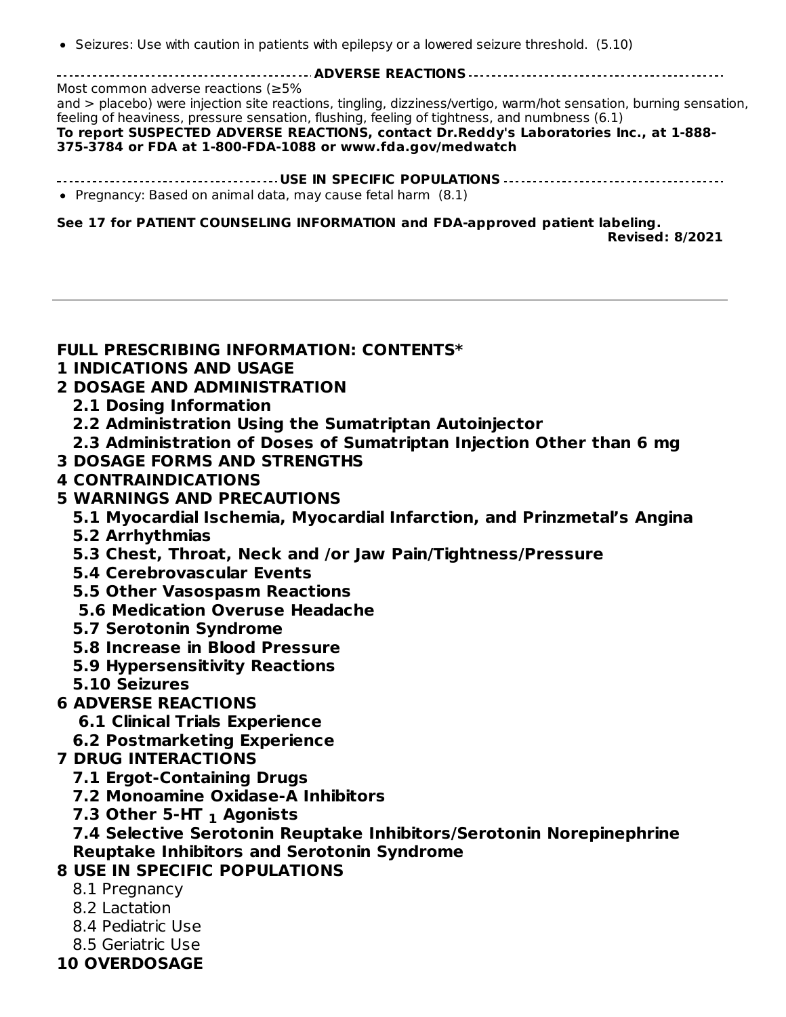• Seizures: Use with caution in patients with epilepsy or a lowered seizure threshold. (5.10)

**ADVERSE REACTIONS** Most common adverse reactions (≥5% and > placebo) were injection site reactions, tingling, dizziness/vertigo, warm/hot sensation, burning sensation, feeling of heaviness, pressure sensation, flushing, feeling of tightness, and numbness (6.1) **To report SUSPECTED ADVERSE REACTIONS, contact Dr.Reddy's Laboratories Inc., at 1-888- 375-3784 or FDA at 1-800-FDA-1088 or www.fda.gov/medwatch**

**USE IN SPECIFIC POPULATIONS**

• Pregnancy: Based on animal data, may cause fetal harm (8.1)

**See 17 for PATIENT COUNSELING INFORMATION and FDA-approved patient labeling. Revised: 8/2021**

#### **FULL PRESCRIBING INFORMATION: CONTENTS\***

- **1 INDICATIONS AND USAGE**
- **2 DOSAGE AND ADMINISTRATION**
	- **2.1 Dosing Information**
	- **2.2 Administration Using the Sumatriptan Autoinjector**
	- **2.3 Administration of Doses of Sumatriptan Injection Other than 6 mg**
- **3 DOSAGE FORMS AND STRENGTHS**
- **4 CONTRAINDICATIONS**
- **5 WARNINGS AND PRECAUTIONS**
	- **5.1 Myocardial Ischemia, Myocardial Infarction, and Prinzmetal's Angina**
	- **5.2 Arrhythmias**
	- **5.3 Chest, Throat, Neck and /or Jaw Pain/Tightness/Pressure**
	- **5.4 Cerebrovascular Events**
	- **5.5 Other Vasospasm Reactions**
	- **5.6 Medication Overuse Headache**
	- **5.7 Serotonin Syndrome**
	- **5.8 Increase in Blood Pressure**
	- **5.9 Hypersensitivity Reactions**
	- **5.10 Seizures**
- **6 ADVERSE REACTIONS**
	- **6.1 Clinical Trials Experience**
	- **6.2 Postmarketing Experience**
- **7 DRUG INTERACTIONS**
	- **7.1 Ergot-Containing Drugs**
	- **7.2 Monoamine Oxidase-A Inhibitors**
	- **7.3 Other 5-HT Agonists 1**

**7.4 Selective Serotonin Reuptake Inhibitors/Serotonin Norepinephrine Reuptake Inhibitors and Serotonin Syndrome**

#### **8 USE IN SPECIFIC POPULATIONS**

- 8.1 Pregnancy
- 8.2 Lactation
- 8.4 Pediatric Use
- 8.5 Geriatric Use
- **10 OVERDOSAGE**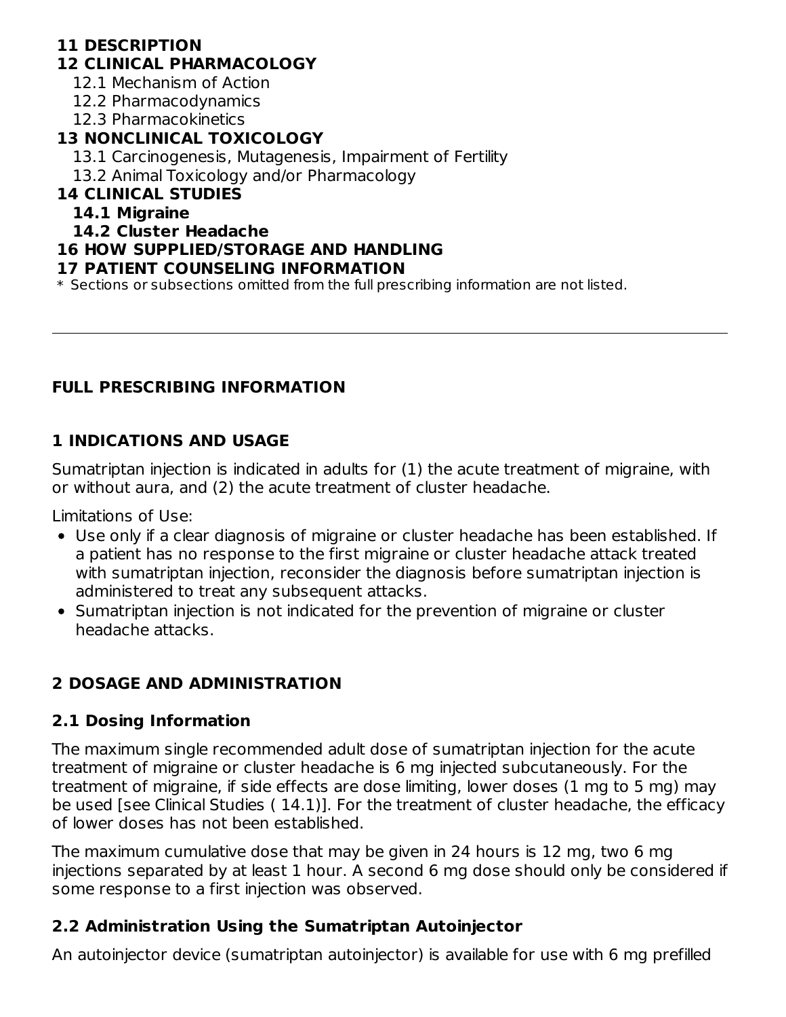### **11 DESCRIPTION**

## **12 CLINICAL PHARMACOLOGY**

12.1 Mechanism of Action

12.2 Pharmacodynamics

12.3 Pharmacokinetics

### **13 NONCLINICAL TOXICOLOGY**

13.1 Carcinogenesis, Mutagenesis, Impairment of Fertility

13.2 Animal Toxicology and/or Pharmacology

## **14 CLINICAL STUDIES**

#### **14.1 Migraine**

**14.2 Cluster Headache**

### **16 HOW SUPPLIED/STORAGE AND HANDLING**

#### **17 PATIENT COUNSELING INFORMATION**

 $\ast$  Sections or subsections omitted from the full prescribing information are not listed.

## **FULL PRESCRIBING INFORMATION**

## **1 INDICATIONS AND USAGE**

Sumatriptan injection is indicated in adults for (1) the acute treatment of migraine, with or without aura, and (2) the acute treatment of cluster headache.

Limitations of Use:

- Use only if a clear diagnosis of migraine or cluster headache has been established. If a patient has no response to the first migraine or cluster headache attack treated with sumatriptan injection, reconsider the diagnosis before sumatriptan injection is administered to treat any subsequent attacks.
- Sumatriptan injection is not indicated for the prevention of migraine or cluster headache attacks.

## **2 DOSAGE AND ADMINISTRATION**

## **2.1 Dosing Information**

The maximum single recommended adult dose of sumatriptan injection for the acute treatment of migraine or cluster headache is 6 mg injected subcutaneously. For the treatment of migraine, if side effects are dose limiting, lower doses (1 mg to 5 mg) may be used [see Clinical Studies ( 14.1)]. For the treatment of cluster headache, the efficacy of lower doses has not been established.

The maximum cumulative dose that may be given in 24 hours is 12 mg, two 6 mg injections separated by at least 1 hour. A second 6 mg dose should only be considered if some response to a first injection was observed.

## **2.2 Administration Using the Sumatriptan Autoinjector**

An autoinjector device (sumatriptan autoinjector) is available for use with 6 mg prefilled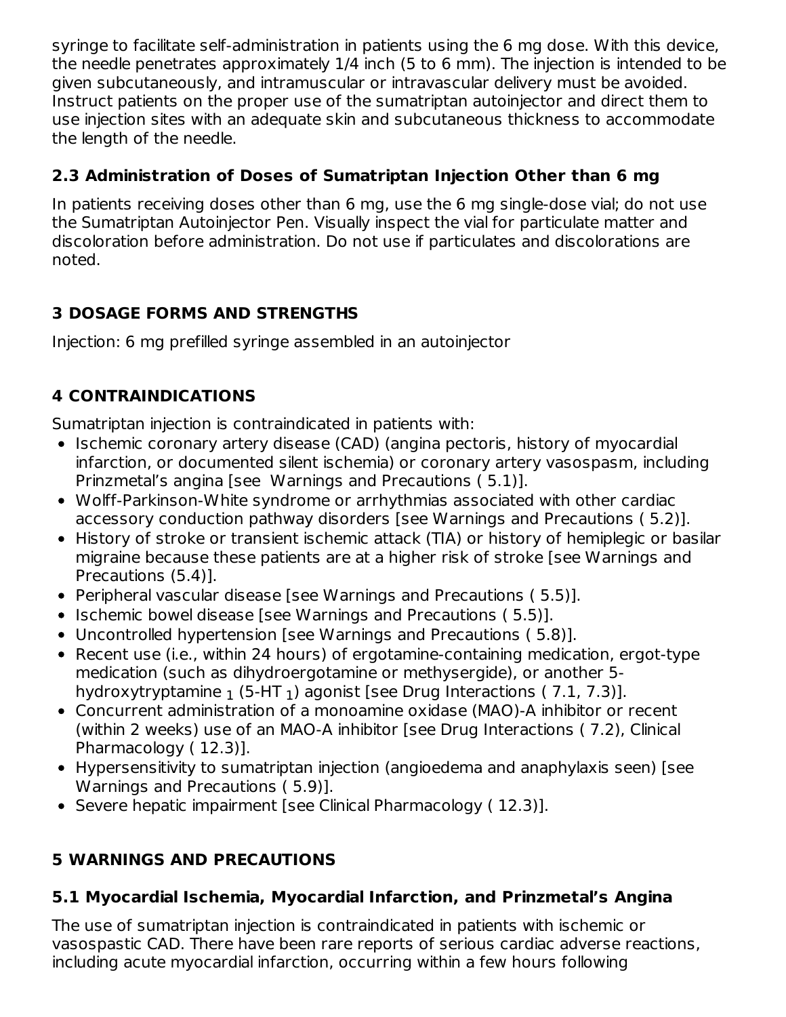syringe to facilitate self-administration in patients using the 6 mg dose. With this device, the needle penetrates approximately 1/4 inch (5 to 6 mm). The injection is intended to be given subcutaneously, and intramuscular or intravascular delivery must be avoided. Instruct patients on the proper use of the sumatriptan autoinjector and direct them to use injection sites with an adequate skin and subcutaneous thickness to accommodate the length of the needle.

## **2.3 Administration of Doses of Sumatriptan Injection Other than 6 mg**

In patients receiving doses other than 6 mg, use the 6 mg single-dose vial; do not use the Sumatriptan Autoinjector Pen. Visually inspect the vial for particulate matter and discoloration before administration. Do not use if particulates and discolorations are noted.

## **3 DOSAGE FORMS AND STRENGTHS**

Injection: 6 mg prefilled syringe assembled in an autoinjector

## **4 CONTRAINDICATIONS**

Sumatriptan injection is contraindicated in patients with:

- Ischemic coronary artery disease (CAD) (angina pectoris, history of myocardial infarction, or documented silent ischemia) or coronary artery vasospasm, including Prinzmetal's angina [see Warnings and Precautions ( 5.1)].
- Wolff-Parkinson-White syndrome or arrhythmias associated with other cardiac accessory conduction pathway disorders [see Warnings and Precautions ( 5.2)].
- History of stroke or transient ischemic attack (TIA) or history of hemiplegic or basilar migraine because these patients are at a higher risk of stroke [see Warnings and Precautions (5.4)].
- Peripheral vascular disease [see Warnings and Precautions ( 5.5)].
- Ischemic bowel disease [see Warnings and Precautions (5.5)].
- Uncontrolled hypertension [see Warnings and Precautions ( 5.8)].
- Recent use (i.e., within 24 hours) of ergotamine-containing medication, ergot-type medication (such as dihydroergotamine or methysergide), or another 5 hydroxytryptamine  $_1$  (5-HT  $_1$ ) agonist [see Drug Interactions ( 7.1, 7.3)].
- Concurrent administration of a monoamine oxidase (MAO)-A inhibitor or recent (within 2 weeks) use of an MAO-A inhibitor [see Drug Interactions ( 7.2), Clinical Pharmacology ( 12.3)].
- Hypersensitivity to sumatriptan injection (angioedema and anaphylaxis seen) [see Warnings and Precautions ( 5.9)].
- Severe hepatic impairment [see Clinical Pharmacology (12.3)].

## **5 WARNINGS AND PRECAUTIONS**

#### **5.1 Myocardial Ischemia, Myocardial Infarction, and Prinzmetal's Angina**

The use of sumatriptan injection is contraindicated in patients with ischemic or vasospastic CAD. There have been rare reports of serious cardiac adverse reactions, including acute myocardial infarction, occurring within a few hours following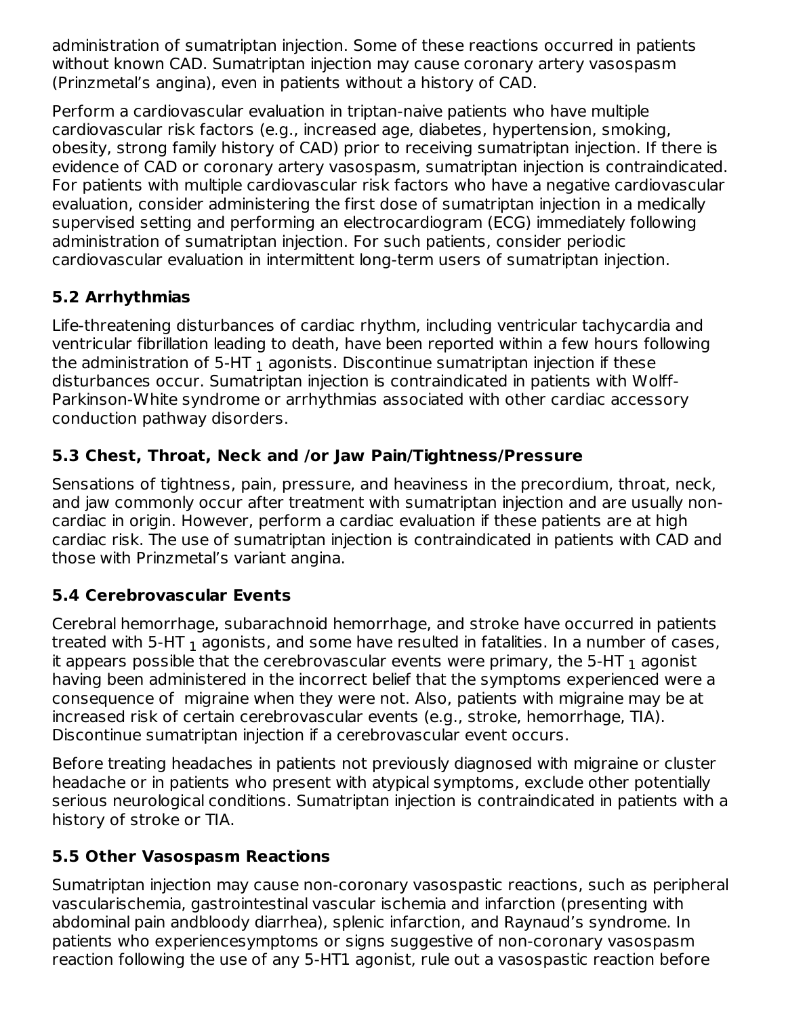administration of sumatriptan injection. Some of these reactions occurred in patients without known CAD. Sumatriptan injection may cause coronary artery vasospasm (Prinzmetal's angina), even in patients without a history of CAD.

Perform a cardiovascular evaluation in triptan-naive patients who have multiple cardiovascular risk factors (e.g., increased age, diabetes, hypertension, smoking, obesity, strong family history of CAD) prior to receiving sumatriptan injection. If there is evidence of CAD or coronary artery vasospasm, sumatriptan injection is contraindicated. For patients with multiple cardiovascular risk factors who have a negative cardiovascular evaluation, consider administering the first dose of sumatriptan injection in a medically supervised setting and performing an electrocardiogram (ECG) immediately following administration of sumatriptan injection. For such patients, consider periodic cardiovascular evaluation in intermittent long-term users of sumatriptan injection.

## **5.2 Arrhythmias**

Life-threatening disturbances of cardiac rhythm, including ventricular tachycardia and ventricular fibrillation leading to death, have been reported within a few hours following the administration of 5-HT  $_{\rm 1}$  agonists. Discontinue sumatriptan injection if these disturbances occur. Sumatriptan injection is contraindicated in patients with Wolff-Parkinson-White syndrome or arrhythmias associated with other cardiac accessory conduction pathway disorders.

## **5.3 Chest, Throat, Neck and /or Jaw Pain/Tightness/Pressure**

Sensations of tightness, pain, pressure, and heaviness in the precordium, throat, neck, and jaw commonly occur after treatment with sumatriptan injection and are usually noncardiac in origin. However, perform a cardiac evaluation if these patients are at high cardiac risk. The use of sumatriptan injection is contraindicated in patients with CAD and those with Prinzmetal's variant angina.

## **5.4 Cerebrovascular Events**

Cerebral hemorrhage, subarachnoid hemorrhage, and stroke have occurred in patients treated with 5-HT  $_{\rm 1}$  agonists, and some have resulted in fatalities. In a number of cases, it appears possible that the cerebrovascular events were primary, the 5-HT  $_{\rm 1}$  agonist having been administered in the incorrect belief that the symptoms experienced were a consequence of migraine when they were not. Also, patients with migraine may be at increased risk of certain cerebrovascular events (e.g., stroke, hemorrhage, TIA). Discontinue sumatriptan injection if a cerebrovascular event occurs.

Before treating headaches in patients not previously diagnosed with migraine or cluster headache or in patients who present with atypical symptoms, exclude other potentially serious neurological conditions. Sumatriptan injection is contraindicated in patients with a history of stroke or TIA.

## **5.5 Other Vasospasm Reactions**

Sumatriptan injection may cause non-coronary vasospastic reactions, such as peripheral vascularischemia, gastrointestinal vascular ischemia and infarction (presenting with abdominal pain andbloody diarrhea), splenic infarction, and Raynaud's syndrome. In patients who experiencesymptoms or signs suggestive of non-coronary vasospasm reaction following the use of any 5-HT1 agonist, rule out a vasospastic reaction before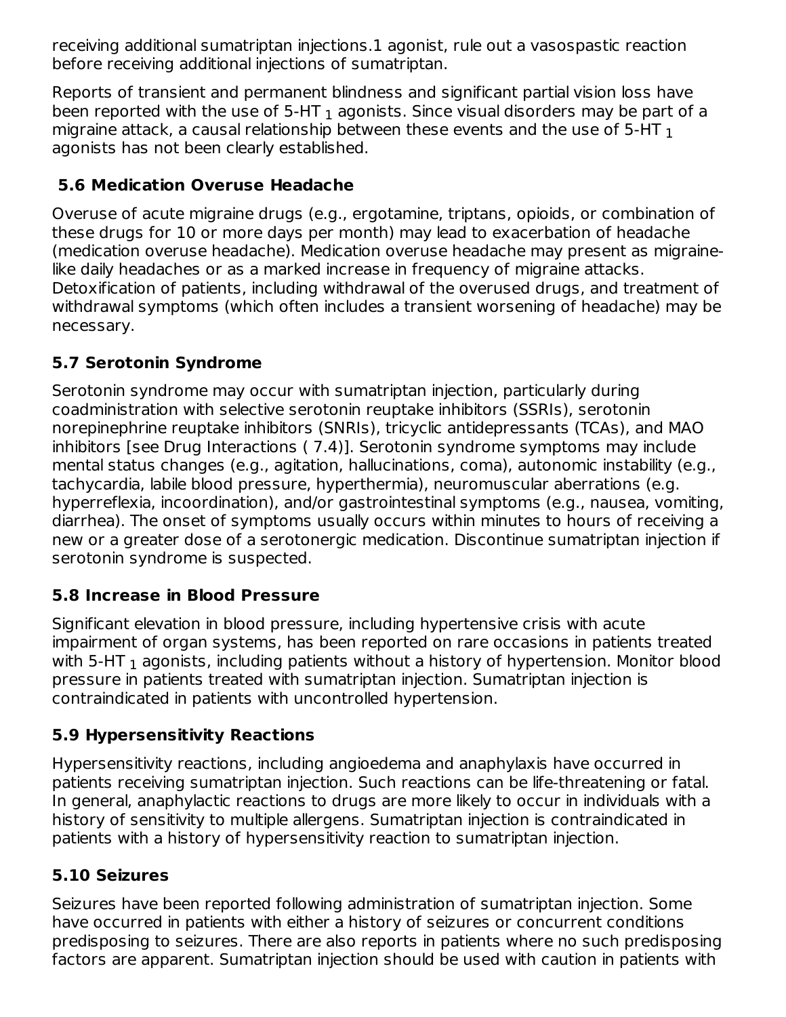receiving additional sumatriptan injections.1 agonist, rule out a vasospastic reaction before receiving additional injections of sumatriptan.

Reports of transient and permanent blindness and significant partial vision loss have been reported with the use of 5-HT  $_{\rm 1}$  agonists. Since visual disorders may be part of a migraine attack, a causal relationship between these events and the use of 5-HT  $_{\rm 1}$ agonists has not been clearly established.

### **5.6 Medication Overuse Headache**

Overuse of acute migraine drugs (e.g., ergotamine, triptans, opioids, or combination of these drugs for 10 or more days per month) may lead to exacerbation of headache (medication overuse headache). Medication overuse headache may present as migrainelike daily headaches or as a marked increase in frequency of migraine attacks. Detoxification of patients, including withdrawal of the overused drugs, and treatment of withdrawal symptoms (which often includes a transient worsening of headache) may be necessary.

## **5.7 Serotonin Syndrome**

Serotonin syndrome may occur with sumatriptan injection, particularly during coadministration with selective serotonin reuptake inhibitors (SSRIs), serotonin norepinephrine reuptake inhibitors (SNRIs), tricyclic antidepressants (TCAs), and MAO inhibitors [see Drug Interactions ( 7.4)]. Serotonin syndrome symptoms may include mental status changes (e.g., agitation, hallucinations, coma), autonomic instability (e.g., tachycardia, labile blood pressure, hyperthermia), neuromuscular aberrations (e.g. hyperreflexia, incoordination), and/or gastrointestinal symptoms (e.g., nausea, vomiting, diarrhea). The onset of symptoms usually occurs within minutes to hours of receiving a new or a greater dose of a serotonergic medication. Discontinue sumatriptan injection if serotonin syndrome is suspected.

## **5.8 Increase in Blood Pressure**

Significant elevation in blood pressure, including hypertensive crisis with acute impairment of organ systems, has been reported on rare occasions in patients treated with 5-HT  $_{\rm 1}$  agonists, including patients without a history of hypertension. Monitor blood pressure in patients treated with sumatriptan injection. Sumatriptan injection is contraindicated in patients with uncontrolled hypertension.

## **5.9 Hypersensitivity Reactions**

Hypersensitivity reactions, including angioedema and anaphylaxis have occurred in patients receiving sumatriptan injection. Such reactions can be life-threatening or fatal. In general, anaphylactic reactions to drugs are more likely to occur in individuals with a history of sensitivity to multiple allergens. Sumatriptan injection is contraindicated in patients with a history of hypersensitivity reaction to sumatriptan injection.

## **5.10 Seizures**

Seizures have been reported following administration of sumatriptan injection. Some have occurred in patients with either a history of seizures or concurrent conditions predisposing to seizures. There are also reports in patients where no such predisposing factors are apparent. Sumatriptan injection should be used with caution in patients with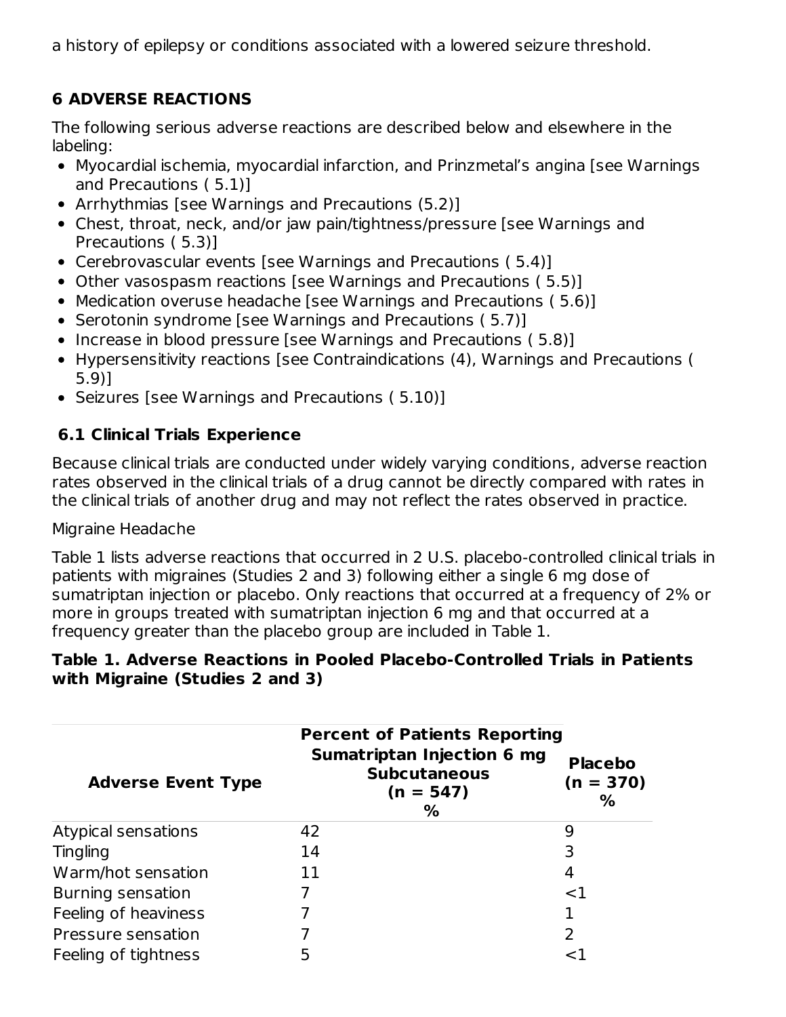a history of epilepsy or conditions associated with a lowered seizure threshold.

### **6 ADVERSE REACTIONS**

The following serious adverse reactions are described below and elsewhere in the labeling:

- Myocardial ischemia, myocardial infarction, and Prinzmetal's angina [see Warnings and Precautions ( 5.1)]
- Arrhythmias [see Warnings and Precautions (5.2)]
- Chest, throat, neck, and/or jaw pain/tightness/pressure [see Warnings and Precautions ( 5.3)]
- Cerebrovascular events [see Warnings and Precautions ( 5.4)]
- Other vasospasm reactions [see Warnings and Precautions ( 5.5)]
- Medication overuse headache [see Warnings and Precautions ( 5.6)]
- Serotonin syndrome [see Warnings and Precautions (5.7)]
- Increase in blood pressure [see Warnings and Precautions (5.8)]
- Hypersensitivity reactions [see Contraindications (4), Warnings and Precautions ( 5.9)]
- Seizures [see Warnings and Precautions (5.10)]

### **6.1 Clinical Trials Experience**

Because clinical trials are conducted under widely varying conditions, adverse reaction rates observed in the clinical trials of a drug cannot be directly compared with rates in the clinical trials of another drug and may not reflect the rates observed in practice.

#### Migraine Headache

Table 1 lists adverse reactions that occurred in 2 U.S. placebo-controlled clinical trials in patients with migraines (Studies 2 and 3) following either a single 6 mg dose of sumatriptan injection or placebo. Only reactions that occurred at a frequency of 2% or more in groups treated with sumatriptan injection 6 mg and that occurred at a frequency greater than the placebo group are included in Table 1.

#### **Table 1. Adverse Reactions in Pooled Placebo-Controlled Trials in Patients with Migraine (Studies 2 and 3)**

| <b>Adverse Event Type</b> | <b>Percent of Patients Reporting</b><br><b>Sumatriptan Injection 6 mg</b><br><b>Subcutaneous</b><br>$(n = 547)$ | <b>Placebo</b><br>$(n = 370)$ |
|---------------------------|-----------------------------------------------------------------------------------------------------------------|-------------------------------|
|                           | ℅                                                                                                               | ℅                             |
| Atypical sensations       | 42                                                                                                              | 9                             |
| <b>Tingling</b>           | 14                                                                                                              |                               |
| Warm/hot sensation        | 11                                                                                                              | 4                             |
| Burning sensation         |                                                                                                                 | ${<}1$                        |
| Feeling of heaviness      |                                                                                                                 |                               |
| Pressure sensation        |                                                                                                                 |                               |
| Feeling of tightness      |                                                                                                                 |                               |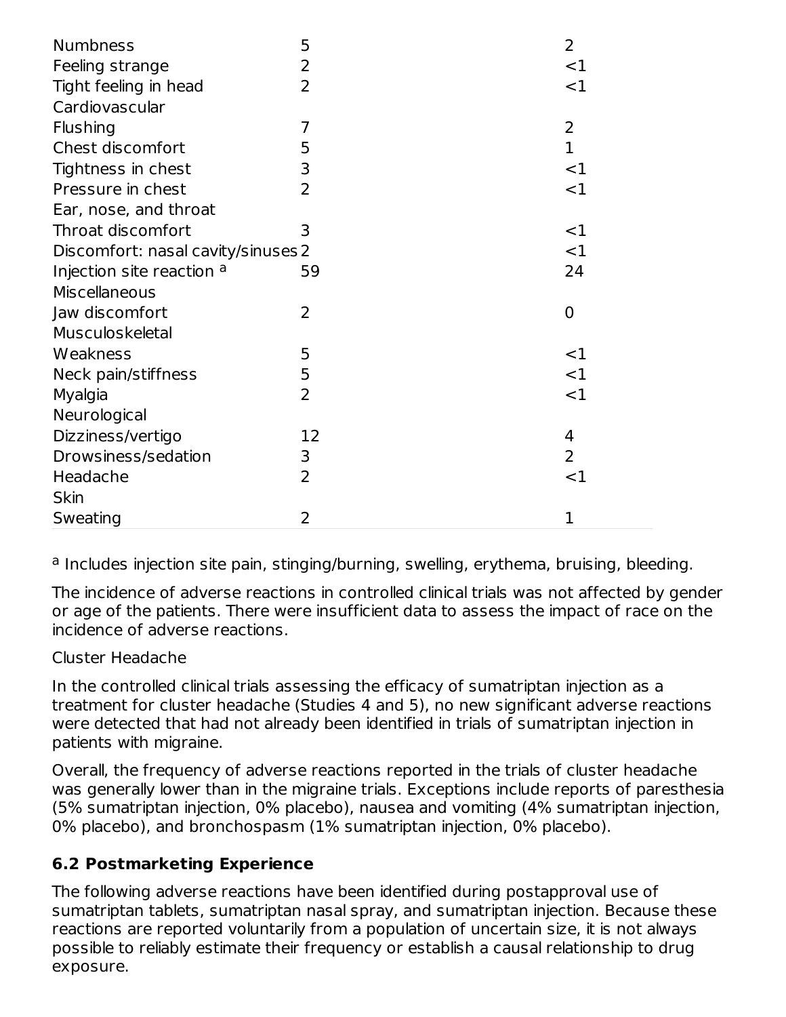| <b>Numbness</b>                    | 5              | $\overline{2}$ |
|------------------------------------|----------------|----------------|
| Feeling strange                    | 2              | $<$ 1          |
| Tight feeling in head              | $\overline{2}$ | <1             |
| Cardiovascular                     |                |                |
| <b>Flushing</b>                    | $\overline{7}$ | 2              |
| Chest discomfort                   | 5              | $\mathbf{1}$   |
| Tightness in chest                 | 3              | $<$ 1          |
| Pressure in chest                  | $\overline{2}$ | <1             |
| Ear, nose, and throat              |                |                |
| Throat discomfort                  | 3              | <1             |
| Discomfort: nasal cavity/sinuses 2 |                | $<$ 1          |
| Injection site reaction a          | 59             | 24             |
| <b>Miscellaneous</b>               |                |                |
| Jaw discomfort                     | $\overline{2}$ | $\mathbf 0$    |
| Musculoskeletal                    |                |                |
| Weakness                           | 5              | $<$ 1          |
| Neck pain/stiffness                | 5              | <1             |
| Myalgia                            | 2              | <1             |
| Neurological                       |                |                |
| Dizziness/vertigo                  | 12             | 4              |
| Drowsiness/sedation                | 3              | $\overline{2}$ |
| Headache                           | 2              | $<$ 1          |
| <b>Skin</b>                        |                |                |
| Sweating                           | $\overline{2}$ | $\mathbf{1}$   |
|                                    |                |                |

<sup>a</sup> Includes injection site pain, stinging/burning, swelling, erythema, bruising, bleeding.

The incidence of adverse reactions in controlled clinical trials was not affected by gender or age of the patients. There were insufficient data to assess the impact of race on the incidence of adverse reactions.

#### Cluster Headache

In the controlled clinical trials assessing the efficacy of sumatriptan injection as a treatment for cluster headache (Studies 4 and 5), no new significant adverse reactions were detected that had not already been identified in trials of sumatriptan injection in patients with migraine.

Overall, the frequency of adverse reactions reported in the trials of cluster headache was generally lower than in the migraine trials. Exceptions include reports of paresthesia (5% sumatriptan injection, 0% placebo), nausea and vomiting (4% sumatriptan injection, 0% placebo), and bronchospasm (1% sumatriptan injection, 0% placebo).

#### **6.2 Postmarketing Experience**

The following adverse reactions have been identified during postapproval use of sumatriptan tablets, sumatriptan nasal spray, and sumatriptan injection. Because these reactions are reported voluntarily from a population of uncertain size, it is not always possible to reliably estimate their frequency or establish a causal relationship to drug exposure.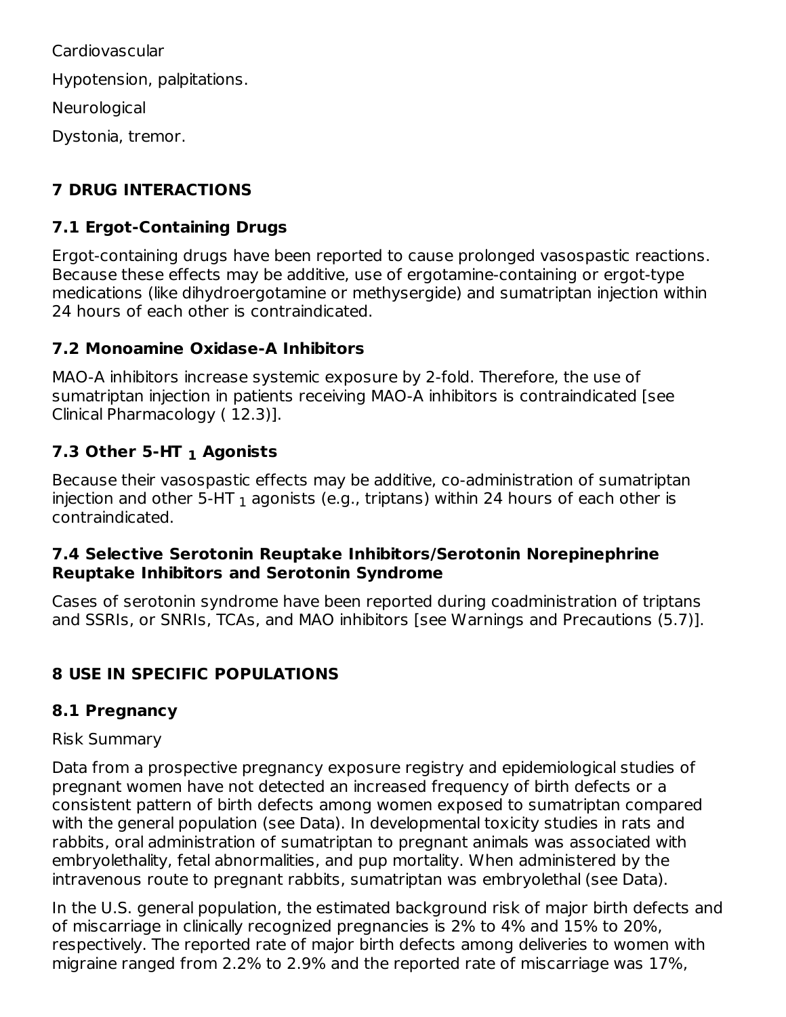Cardiovascular Hypotension, palpitations. **Neurological** Dystonia, tremor.

## **7 DRUG INTERACTIONS**

### **7.1 Ergot-Containing Drugs**

Ergot-containing drugs have been reported to cause prolonged vasospastic reactions. Because these effects may be additive, use of ergotamine-containing or ergot-type medications (like dihydroergotamine or methysergide) and sumatriptan injection within 24 hours of each other is contraindicated.

### **7.2 Monoamine Oxidase-A Inhibitors**

MAO-A inhibitors increase systemic exposure by 2-fold. Therefore, the use of sumatriptan injection in patients receiving MAO-A inhibitors is contraindicated [see Clinical Pharmacology ( 12.3)].

## **7.3 Other 5-HT Agonists 1**

Because their vasospastic effects may be additive, co-administration of sumatriptan injection and other 5-HT  $_{\rm 1}$  agonists (e.g., triptans) within 24 hours of each other is contraindicated.

#### **7.4 Selective Serotonin Reuptake Inhibitors/Serotonin Norepinephrine Reuptake Inhibitors and Serotonin Syndrome**

Cases of serotonin syndrome have been reported during coadministration of triptans and SSRIs, or SNRIs, TCAs, and MAO inhibitors [see Warnings and Precautions (5.7)].

## **8 USE IN SPECIFIC POPULATIONS**

#### **8.1 Pregnancy**

#### Risk Summary

Data from a prospective pregnancy exposure registry and epidemiological studies of pregnant women have not detected an increased frequency of birth defects or a consistent pattern of birth defects among women exposed to sumatriptan compared with the general population (see Data). In developmental toxicity studies in rats and rabbits, oral administration of sumatriptan to pregnant animals was associated with embryolethality, fetal abnormalities, and pup mortality. When administered by the intravenous route to pregnant rabbits, sumatriptan was embryolethal (see Data).

In the U.S. general population, the estimated background risk of major birth defects and of miscarriage in clinically recognized pregnancies is 2% to 4% and 15% to 20%, respectively. The reported rate of major birth defects among deliveries to women with migraine ranged from 2.2% to 2.9% and the reported rate of miscarriage was 17%,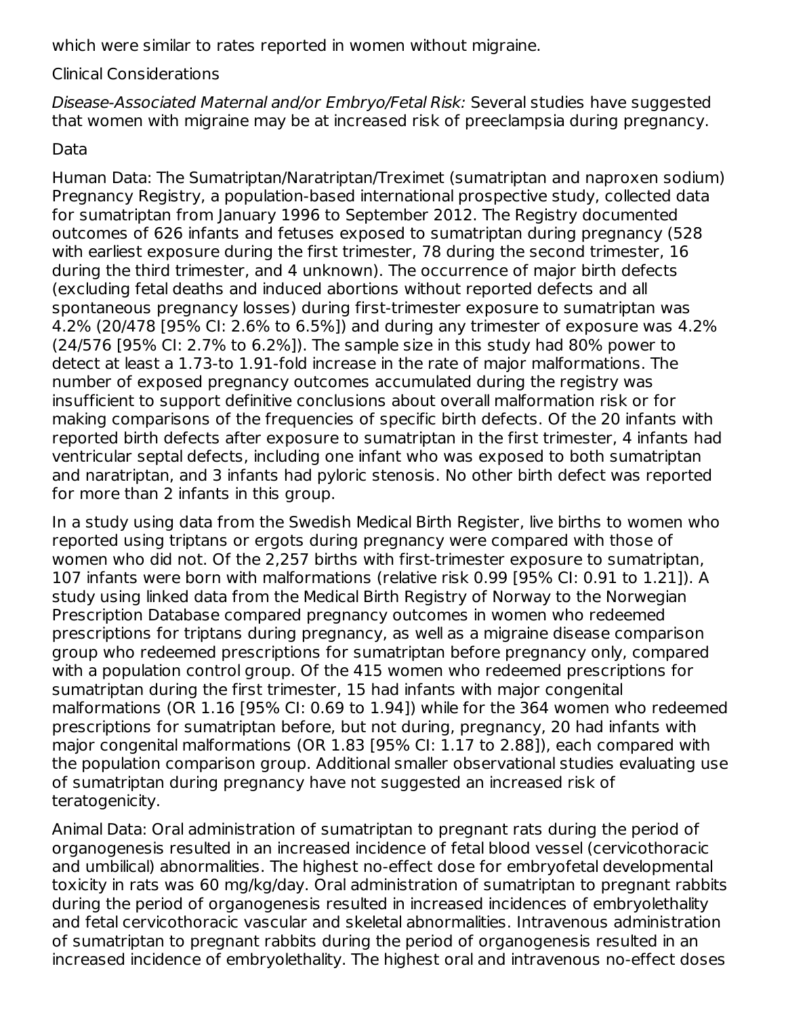which were similar to rates reported in women without migraine.

#### Clinical Considerations

Disease-Associated Maternal and/or Embryo/Fetal Risk: Several studies have suggested that women with migraine may be at increased risk of preeclampsia during pregnancy.

#### Data

Human Data: The Sumatriptan/Naratriptan/Treximet (sumatriptan and naproxen sodium) Pregnancy Registry, a population-based international prospective study, collected data for sumatriptan from January 1996 to September 2012. The Registry documented outcomes of 626 infants and fetuses exposed to sumatriptan during pregnancy (528 with earliest exposure during the first trimester, 78 during the second trimester, 16 during the third trimester, and 4 unknown). The occurrence of major birth defects (excluding fetal deaths and induced abortions without reported defects and all spontaneous pregnancy losses) during first-trimester exposure to sumatriptan was 4.2% (20/478 [95% CI: 2.6% to 6.5%]) and during any trimester of exposure was 4.2% (24/576 [95% CI: 2.7% to 6.2%]). The sample size in this study had 80% power to detect at least a 1.73-to 1.91-fold increase in the rate of major malformations. The number of exposed pregnancy outcomes accumulated during the registry was insufficient to support definitive conclusions about overall malformation risk or for making comparisons of the frequencies of specific birth defects. Of the 20 infants with reported birth defects after exposure to sumatriptan in the first trimester, 4 infants had ventricular septal defects, including one infant who was exposed to both sumatriptan and naratriptan, and 3 infants had pyloric stenosis. No other birth defect was reported for more than 2 infants in this group.

In a study using data from the Swedish Medical Birth Register, live births to women who reported using triptans or ergots during pregnancy were compared with those of women who did not. Of the 2,257 births with first-trimester exposure to sumatriptan, 107 infants were born with malformations (relative risk 0.99 [95% CI: 0.91 to 1.21]). A study using linked data from the Medical Birth Registry of Norway to the Norwegian Prescription Database compared pregnancy outcomes in women who redeemed prescriptions for triptans during pregnancy, as well as a migraine disease comparison group who redeemed prescriptions for sumatriptan before pregnancy only, compared with a population control group. Of the 415 women who redeemed prescriptions for sumatriptan during the first trimester, 15 had infants with major congenital malformations (OR 1.16 [95% CI: 0.69 to 1.94]) while for the 364 women who redeemed prescriptions for sumatriptan before, but not during, pregnancy, 20 had infants with major congenital malformations (OR 1.83 [95% CI: 1.17 to 2.88]), each compared with the population comparison group. Additional smaller observational studies evaluating use of sumatriptan during pregnancy have not suggested an increased risk of teratogenicity.

Animal Data: Oral administration of sumatriptan to pregnant rats during the period of organogenesis resulted in an increased incidence of fetal blood vessel (cervicothoracic and umbilical) abnormalities. The highest no-effect dose for embryofetal developmental toxicity in rats was 60 mg/kg/day. Oral administration of sumatriptan to pregnant rabbits during the period of organogenesis resulted in increased incidences of embryolethality and fetal cervicothoracic vascular and skeletal abnormalities. Intravenous administration of sumatriptan to pregnant rabbits during the period of organogenesis resulted in an increased incidence of embryolethality. The highest oral and intravenous no-effect doses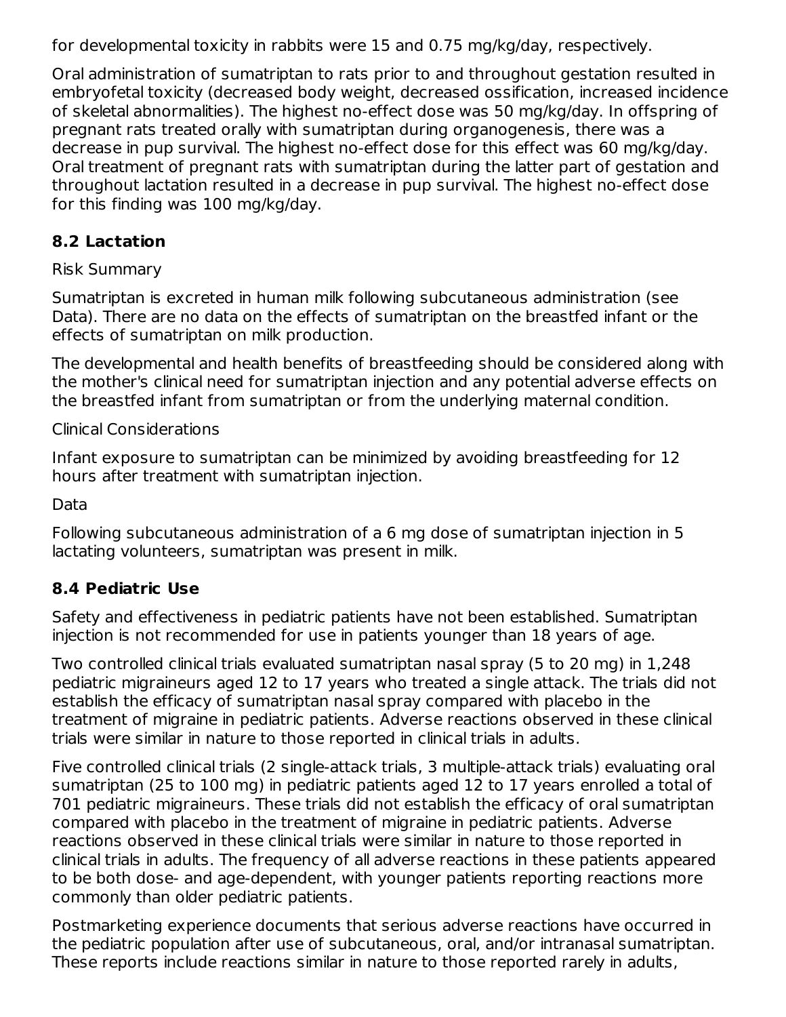for developmental toxicity in rabbits were 15 and 0.75 mg/kg/day, respectively.

Oral administration of sumatriptan to rats prior to and throughout gestation resulted in embryofetal toxicity (decreased body weight, decreased ossification, increased incidence of skeletal abnormalities). The highest no-effect dose was 50 mg/kg/day. In offspring of pregnant rats treated orally with sumatriptan during organogenesis, there was a decrease in pup survival. The highest no-effect dose for this effect was 60 mg/kg/day. Oral treatment of pregnant rats with sumatriptan during the latter part of gestation and throughout lactation resulted in a decrease in pup survival. The highest no-effect dose for this finding was 100 mg/kg/day.

### **8.2 Lactation**

#### Risk Summary

Sumatriptan is excreted in human milk following subcutaneous administration (see Data). There are no data on the effects of sumatriptan on the breastfed infant or the effects of sumatriptan on milk production.

The developmental and health benefits of breastfeeding should be considered along with the mother's clinical need for sumatriptan injection and any potential adverse effects on the breastfed infant from sumatriptan or from the underlying maternal condition.

#### Clinical Considerations

Infant exposure to sumatriptan can be minimized by avoiding breastfeeding for 12 hours after treatment with sumatriptan injection.

Data

Following subcutaneous administration of a 6 mg dose of sumatriptan injection in 5 lactating volunteers, sumatriptan was present in milk.

## **8.4 Pediatric Use**

Safety and effectiveness in pediatric patients have not been established. Sumatriptan injection is not recommended for use in patients younger than 18 years of age.

Two controlled clinical trials evaluated sumatriptan nasal spray (5 to 20 mg) in 1,248 pediatric migraineurs aged 12 to 17 years who treated a single attack. The trials did not establish the efficacy of sumatriptan nasal spray compared with placebo in the treatment of migraine in pediatric patients. Adverse reactions observed in these clinical trials were similar in nature to those reported in clinical trials in adults.

Five controlled clinical trials (2 single-attack trials, 3 multiple-attack trials) evaluating oral sumatriptan (25 to 100 mg) in pediatric patients aged 12 to 17 years enrolled a total of 701 pediatric migraineurs. These trials did not establish the efficacy of oral sumatriptan compared with placebo in the treatment of migraine in pediatric patients. Adverse reactions observed in these clinical trials were similar in nature to those reported in clinical trials in adults. The frequency of all adverse reactions in these patients appeared to be both dose- and age-dependent, with younger patients reporting reactions more commonly than older pediatric patients.

Postmarketing experience documents that serious adverse reactions have occurred in the pediatric population after use of subcutaneous, oral, and/or intranasal sumatriptan. These reports include reactions similar in nature to those reported rarely in adults,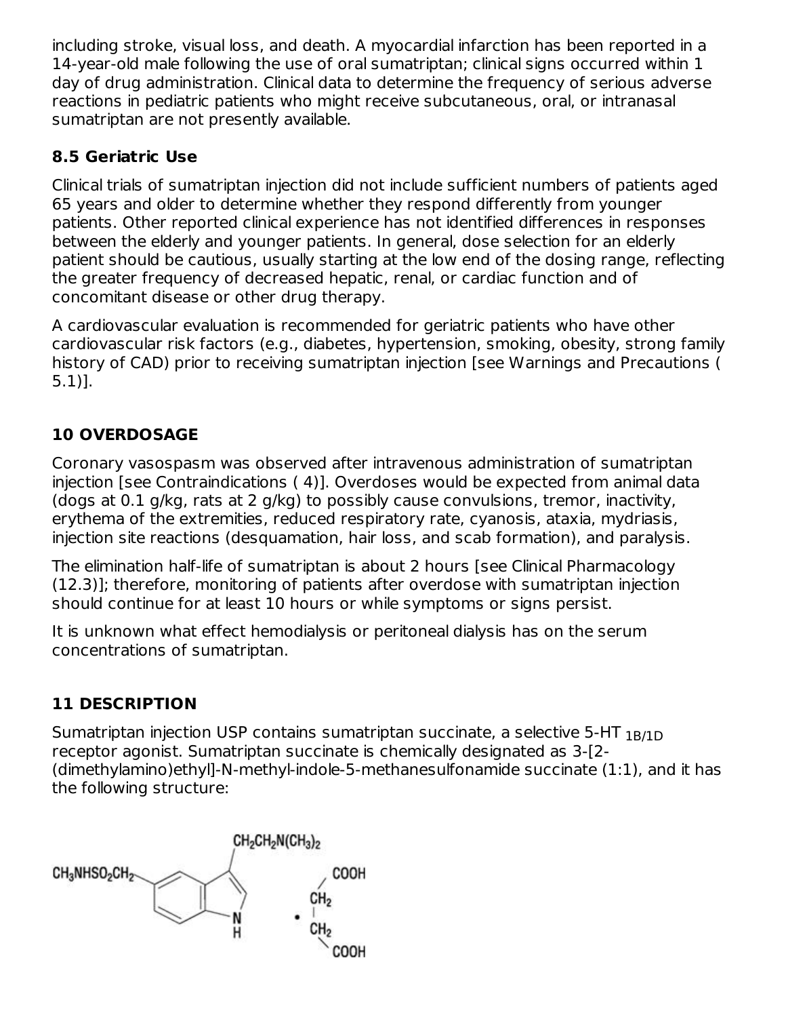including stroke, visual loss, and death. A myocardial infarction has been reported in a 14-year-old male following the use of oral sumatriptan; clinical signs occurred within 1 day of drug administration. Clinical data to determine the frequency of serious adverse reactions in pediatric patients who might receive subcutaneous, oral, or intranasal sumatriptan are not presently available.

### **8.5 Geriatric Use**

Clinical trials of sumatriptan injection did not include sufficient numbers of patients aged 65 years and older to determine whether they respond differently from younger patients. Other reported clinical experience has not identified differences in responses between the elderly and younger patients. In general, dose selection for an elderly patient should be cautious, usually starting at the low end of the dosing range, reflecting the greater frequency of decreased hepatic, renal, or cardiac function and of concomitant disease or other drug therapy.

A cardiovascular evaluation is recommended for geriatric patients who have other cardiovascular risk factors (e.g., diabetes, hypertension, smoking, obesity, strong family history of CAD) prior to receiving sumatriptan injection [see Warnings and Precautions ( 5.1)].

## **10 OVERDOSAGE**

Coronary vasospasm was observed after intravenous administration of sumatriptan injection [see Contraindications ( 4)]. Overdoses would be expected from animal data (dogs at 0.1 g/kg, rats at 2 g/kg) to possibly cause convulsions, tremor, inactivity, erythema of the extremities, reduced respiratory rate, cyanosis, ataxia, mydriasis, injection site reactions (desquamation, hair loss, and scab formation), and paralysis.

The elimination half-life of sumatriptan is about 2 hours [see Clinical Pharmacology (12.3)]; therefore, monitoring of patients after overdose with sumatriptan injection should continue for at least 10 hours or while symptoms or signs persist.

It is unknown what effect hemodialysis or peritoneal dialysis has on the serum concentrations of sumatriptan.

## **11 DESCRIPTION**

Sumatriptan injection USP contains sumatriptan succinate, a selective 5-HT  $_{\rm 1B/1D}$ receptor agonist. Sumatriptan succinate is chemically designated as 3-[2- (dimethylamino)ethyl]-N-methyl-indole-5-methanesulfonamide succinate (1:1), and it has the following structure:

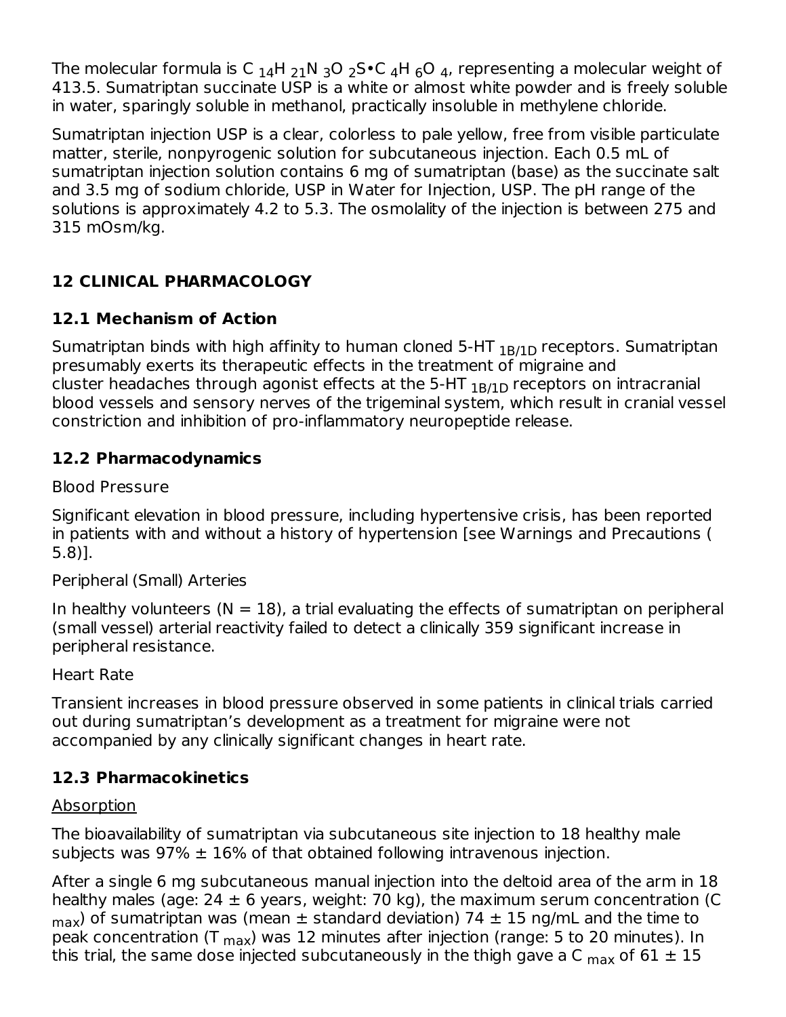The molecular formula is C  $_{\rm 14}$ H  $_{\rm 21}$ N  $_{\rm 3}$ O  $_{\rm 2}$ S $\bullet$ C  $_{\rm 4}$ H  $_{\rm 6}$ O  $_{\rm 4}$ , representing a molecular weight of 413.5. Sumatriptan succinate USP is a white or almost white powder and is freely soluble in water, sparingly soluble in methanol, practically insoluble in methylene chloride.

Sumatriptan injection USP is a clear, colorless to pale yellow, free from visible particulate matter, sterile, nonpyrogenic solution for subcutaneous injection. Each 0.5 mL of sumatriptan injection solution contains 6 mg of sumatriptan (base) as the succinate salt and 3.5 mg of sodium chloride, USP in Water for Injection, USP. The pH range of the solutions is approximately 4.2 to 5.3. The osmolality of the injection is between 275 and 315 mOsm/kg.

## **12 CLINICAL PHARMACOLOGY**

## **12.1 Mechanism of Action**

Sumatriptan binds with high affinity to human cloned 5-HT  $_{\rm 1B/1D}$  receptors. Sumatriptan presumably exerts its therapeutic effects in the treatment of migraine and cluster headaches through agonist effects at the 5-HT  $_{\rm 1B/1D}$  receptors on intracranial blood vessels and sensory nerves of the trigeminal system, which result in cranial vessel constriction and inhibition of pro-inflammatory neuropeptide release.

#### **12.2 Pharmacodynamics**

#### Blood Pressure

Significant elevation in blood pressure, including hypertensive crisis, has been reported in patients with and without a history of hypertension [see Warnings and Precautions ( 5.8)].

#### Peripheral (Small) Arteries

In healthy volunteers ( $N = 18$ ), a trial evaluating the effects of sumatriptan on peripheral (small vessel) arterial reactivity failed to detect a clinically 359 significant increase in peripheral resistance.

Heart Rate

Transient increases in blood pressure observed in some patients in clinical trials carried out during sumatriptan's development as a treatment for migraine were not accompanied by any clinically significant changes in heart rate.

#### **12.3 Pharmacokinetics**

#### Absorption

The bioavailability of sumatriptan via subcutaneous site injection to 18 healthy male subjects was  $97\% \pm 16\%$  of that obtained following intravenous injection.

After a single 6 mg subcutaneous manual injection into the deltoid area of the arm in 18 healthy males (age:  $24 \pm 6$  years, weight: 70 kg), the maximum serum concentration (C  $_{\sf max}$ ) of sumatriptan was (mean  $\pm$  standard deviation) 74  $\pm$  15 ng/mL and the time to peak concentration (T <sub>max</sub>) was 12 minutes after injection (range: 5 to 20 minutes). In this trial, the same dose injected subcutaneously in the thigh gave a C  $_{\sf max}$  of 61  $\pm$  15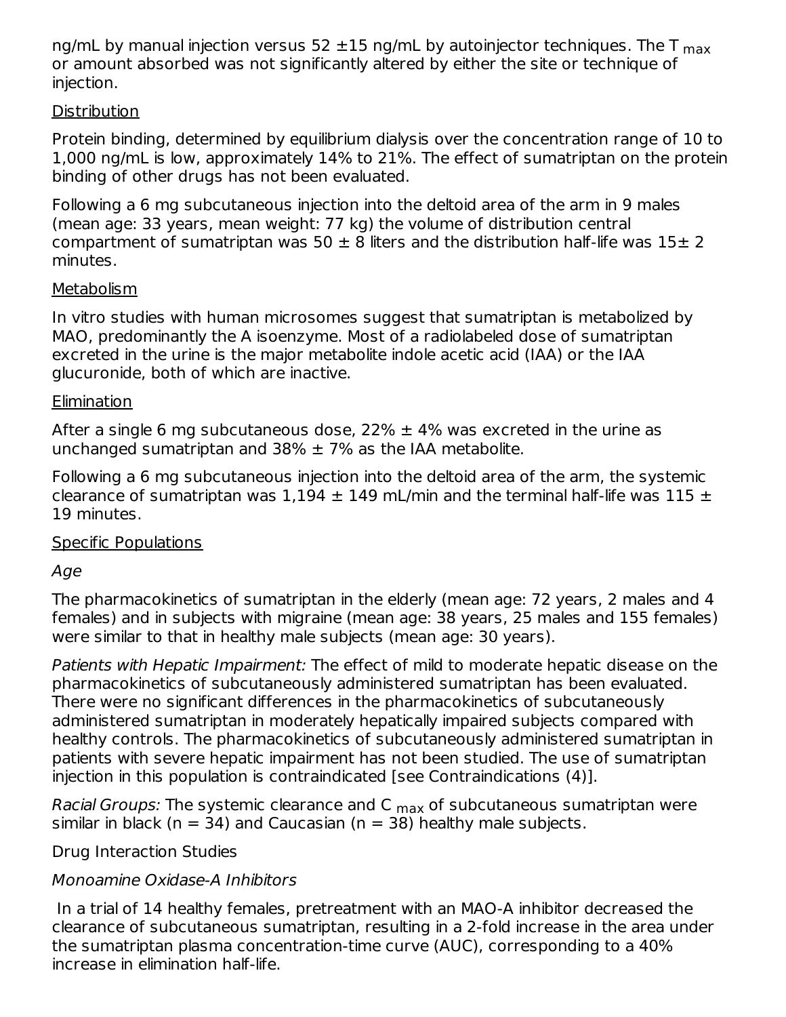ng/mL by manual injection versus 52  $\pm 15$  ng/mL by autoinjector techniques. The T  $_{\sf max}$ or amount absorbed was not significantly altered by either the site or technique of injection.

#### **Distribution**

Protein binding, determined by equilibrium dialysis over the concentration range of 10 to 1,000 ng/mL is low, approximately 14% to 21%. The effect of sumatriptan on the protein binding of other drugs has not been evaluated.

Following a 6 mg subcutaneous injection into the deltoid area of the arm in 9 males (mean age: 33 years, mean weight: 77 kg) the volume of distribution central compartment of sumatriptan was  $50 \pm 8$  liters and the distribution half-life was  $15 \pm 2$ minutes.

#### Metabolism

In vitro studies with human microsomes suggest that sumatriptan is metabolized by MAO, predominantly the A isoenzyme. Most of a radiolabeled dose of sumatriptan excreted in the urine is the major metabolite indole acetic acid (IAA) or the IAA glucuronide, both of which are inactive.

#### Elimination

After a single 6 mg subcutaneous dose,  $22\% \pm 4\%$  was excreted in the urine as unchanged sumatriptan and 38%  $\pm$  7% as the IAA metabolite.

Following a 6 mg subcutaneous injection into the deltoid area of the arm, the systemic clearance of sumatriptan was 1,194  $\pm$  149 mL/min and the terminal half-life was 115  $\pm$ 19 minutes.

#### Specific Populations

#### Age

The pharmacokinetics of sumatriptan in the elderly (mean age: 72 years, 2 males and 4 females) and in subjects with migraine (mean age: 38 years, 25 males and 155 females) were similar to that in healthy male subjects (mean age: 30 years).

Patients with Hepatic Impairment: The effect of mild to moderate hepatic disease on the pharmacokinetics of subcutaneously administered sumatriptan has been evaluated. There were no significant differences in the pharmacokinetics of subcutaneously administered sumatriptan in moderately hepatically impaired subjects compared with healthy controls. The pharmacokinetics of subcutaneously administered sumatriptan in patients with severe hepatic impairment has not been studied. The use of sumatriptan injection in this population is contraindicated [see Contraindications (4)].

R*acial Groups:* The systemic clearance and C <sub>max</sub> of subcutaneous sumatriptan were similar in black ( $n = 34$ ) and Caucasian ( $n = 38$ ) healthy male subjects.

Drug Interaction Studies

#### Monoamine Oxidase-A Inhibitors

In a trial of 14 healthy females, pretreatment with an MAO-A inhibitor decreased the clearance of subcutaneous sumatriptan, resulting in a 2-fold increase in the area under the sumatriptan plasma concentration-time curve (AUC), corresponding to a 40% increase in elimination half-life.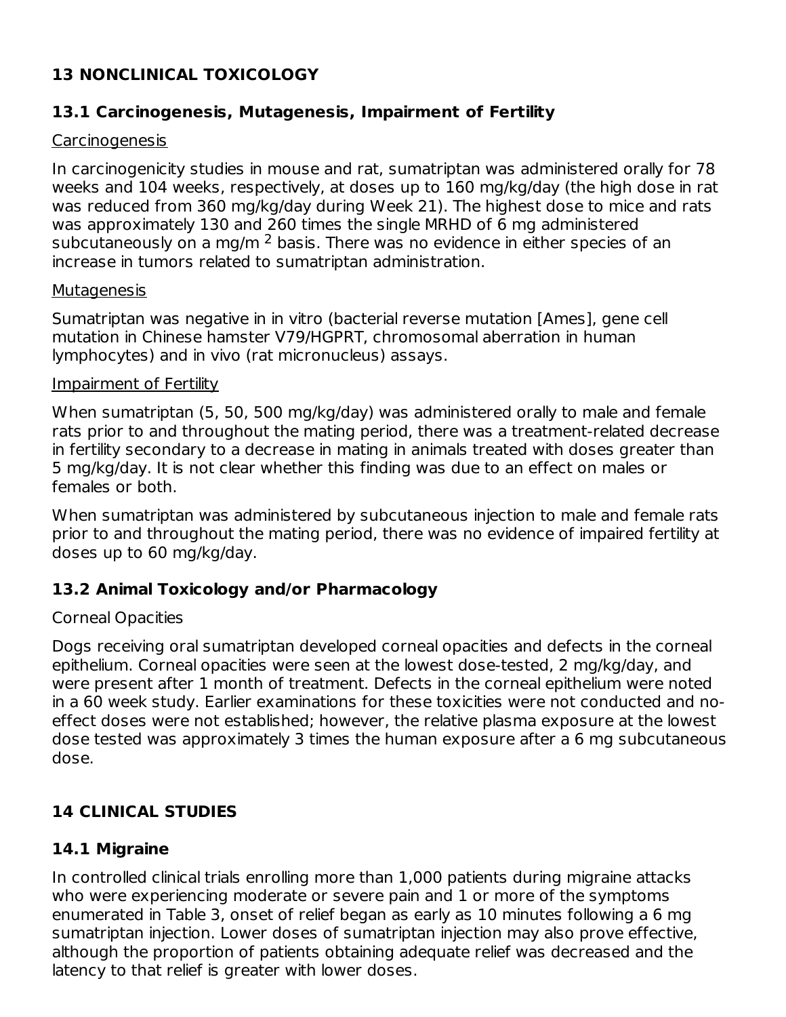### **13 NONCLINICAL TOXICOLOGY**

#### **13.1 Carcinogenesis, Mutagenesis, Impairment of Fertility**

#### **Carcinogenesis**

In carcinogenicity studies in mouse and rat, sumatriptan was administered orally for 78 weeks and 104 weeks, respectively, at doses up to 160 mg/kg/day (the high dose in rat was reduced from 360 mg/kg/day during Week 21). The highest dose to mice and rats was approximately 130 and 260 times the single MRHD of 6 mg administered subcutaneously on a mg/m  $^2$  basis. There was no evidence in either species of an increase in tumors related to sumatriptan administration.

#### Mutagenesis

Sumatriptan was negative in in vitro (bacterial reverse mutation [Ames], gene cell mutation in Chinese hamster V79/HGPRT, chromosomal aberration in human lymphocytes) and in vivo (rat micronucleus) assays.

#### Impairment of Fertility

When sumatriptan (5, 50, 500 mg/kg/day) was administered orally to male and female rats prior to and throughout the mating period, there was a treatment-related decrease in fertility secondary to a decrease in mating in animals treated with doses greater than 5 mg/kg/day. It is not clear whether this finding was due to an effect on males or females or both.

When sumatriptan was administered by subcutaneous injection to male and female rats prior to and throughout the mating period, there was no evidence of impaired fertility at doses up to 60 mg/kg/day.

#### **13.2 Animal Toxicology and/or Pharmacology**

#### Corneal Opacities

Dogs receiving oral sumatriptan developed corneal opacities and defects in the corneal epithelium. Corneal opacities were seen at the lowest dose-tested, 2 mg/kg/day, and were present after 1 month of treatment. Defects in the corneal epithelium were noted in a 60 week study. Earlier examinations for these toxicities were not conducted and noeffect doses were not established; however, the relative plasma exposure at the lowest dose tested was approximately 3 times the human exposure after a 6 mg subcutaneous dose.

#### **14 CLINICAL STUDIES**

#### **14.1 Migraine**

In controlled clinical trials enrolling more than 1,000 patients during migraine attacks who were experiencing moderate or severe pain and 1 or more of the symptoms enumerated in Table 3, onset of relief began as early as 10 minutes following a 6 mg sumatriptan injection. Lower doses of sumatriptan injection may also prove effective, although the proportion of patients obtaining adequate relief was decreased and the latency to that relief is greater with lower doses.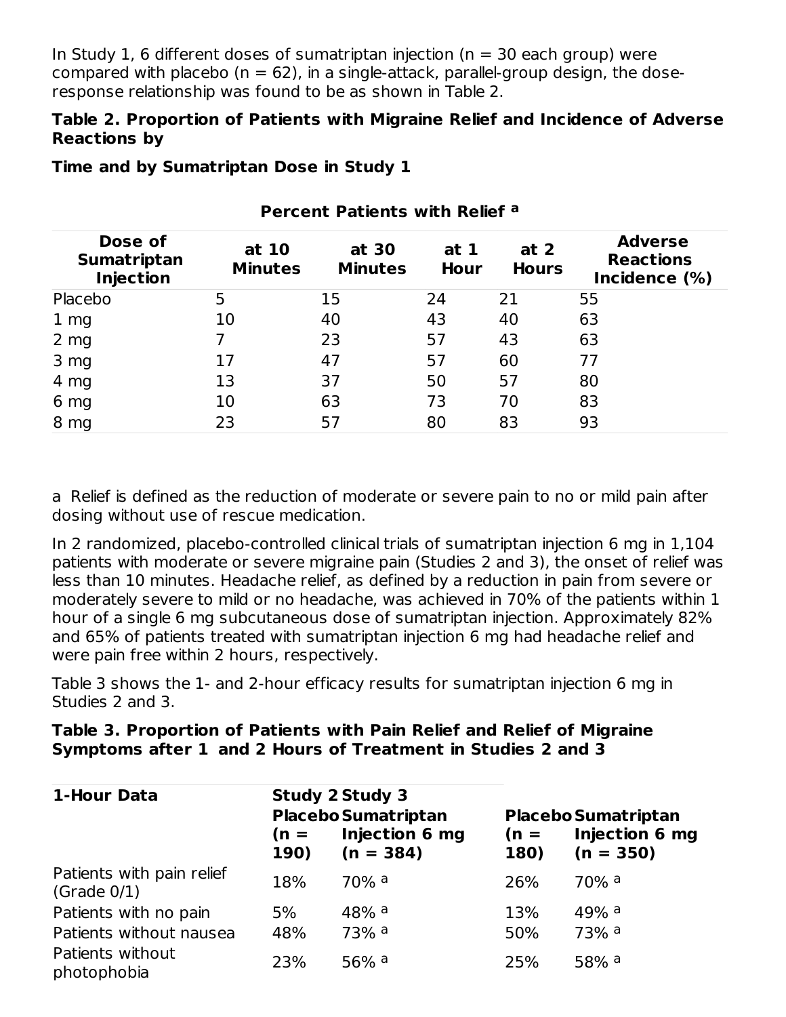In Study 1, 6 different doses of sumatriptan injection ( $n = 30$  each group) were compared with placebo ( $n = 62$ ), in a single-attack, parallel-group design, the doseresponse relationship was found to be as shown in Table 2.

#### **Table 2. Proportion of Patients with Migraine Relief and Incidence of Adverse Reactions by**

**Time and by Sumatriptan Dose in Study 1**

| Dose of<br><b>Sumatriptan</b><br><b>Injection</b> | at 10<br><b>Minutes</b> | at 30<br><b>Minutes</b> | at $1$<br><b>Hour</b> | at $2$<br><b>Hours</b> | <b>Adverse</b><br><b>Reactions</b><br>Incidence (%) |
|---------------------------------------------------|-------------------------|-------------------------|-----------------------|------------------------|-----------------------------------------------------|
| Placebo                                           | 5                       | 15                      | 24                    | 21                     | 55                                                  |
| 1 <sub>mg</sub>                                   | 10                      | 40                      | 43                    | 40                     | 63                                                  |
| 2 mg                                              |                         | 23                      | 57                    | 43                     | 63                                                  |
| 3 mg                                              | 17                      | 47                      | 57                    | 60                     | 77                                                  |
| 4 mg                                              | 13                      | 37                      | 50                    | 57                     | 80                                                  |
| 6 mg                                              | 10                      | 63                      | 73                    | 70                     | 83                                                  |
| 8 mg                                              | 23                      | 57                      | 80                    | 83                     | 93                                                  |

## **Percent Patients with Relief a**

a Relief is defined as the reduction of moderate or severe pain to no or mild pain after dosing without use of rescue medication.

In 2 randomized, placebo-controlled clinical trials of sumatriptan injection 6 mg in 1,104 patients with moderate or severe migraine pain (Studies 2 and 3), the onset of relief was less than 10 minutes. Headache relief, as defined by a reduction in pain from severe or moderately severe to mild or no headache, was achieved in 70% of the patients within 1 hour of a single 6 mg subcutaneous dose of sumatriptan injection. Approximately 82% and 65% of patients treated with sumatriptan injection 6 mg had headache relief and were pain free within 2 hours, respectively.

Table 3 shows the 1- and 2-hour efficacy results for sumatriptan injection 6 mg in Studies 2 and 3.

#### **Table 3. Proportion of Patients with Pain Relief and Relief of Migraine Symptoms after 1 and 2 Hours of Treatment in Studies 2 and 3**

| 1-Hour Data                                      | $(n =$<br>190) | <b>Study 2 Study 3</b><br><b>Placebo Sumatriptan</b><br>Injection 6 mg<br>$(n = 384)$ | $(n =$<br>180) | <b>Placebo Sumatriptan</b><br>Injection 6 mg<br>$(n = 350)$ |
|--------------------------------------------------|----------------|---------------------------------------------------------------------------------------|----------------|-------------------------------------------------------------|
| Patients with pain relief<br>(Grade 0/1)         | 18%            | $70\%$ <sup>a</sup>                                                                   | 26%            | $70\%$ a                                                    |
| Patients with no pain<br>Patients without nausea | 5%<br>48%      | $48%$ <sup>a</sup><br>$73%$ <sup>a</sup>                                              | 13%<br>50%     | $49%$ <sup>a</sup><br>$73%$ <sup>a</sup>                    |
| Patients without<br>photophobia                  | 23%            | 56% $a$                                                                               | 25%            | 58% $a$                                                     |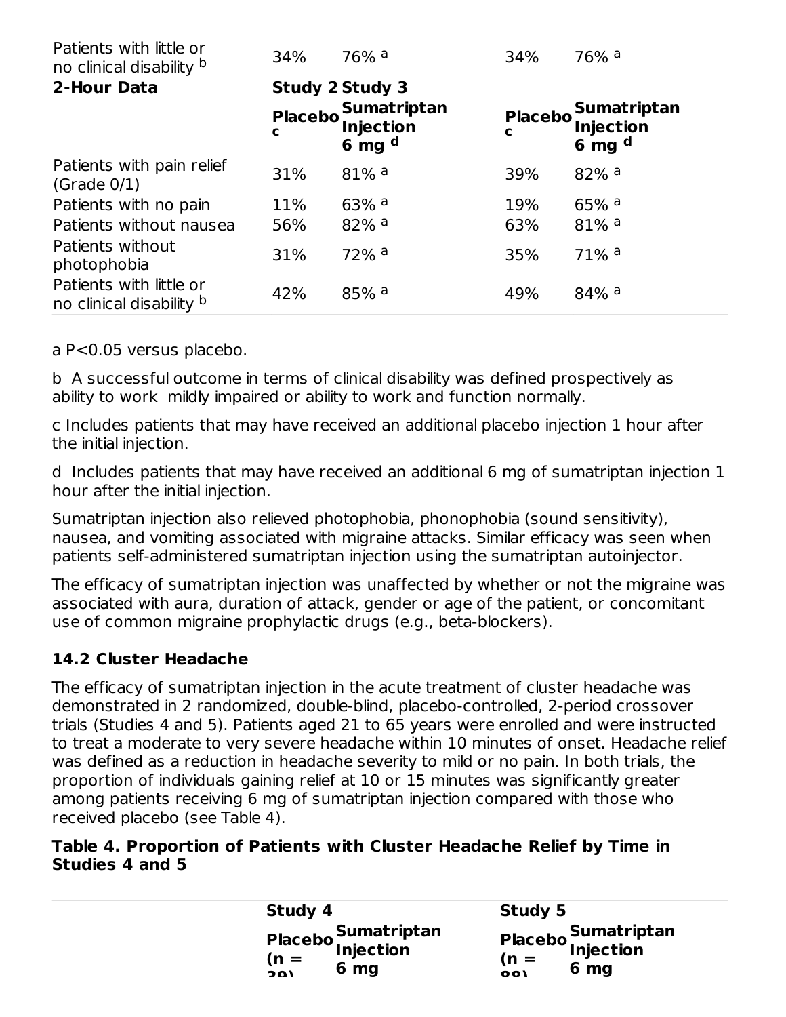| Patients with little or<br>no clinical disability b | 34% | $76%$ <sup>a</sup>                           | 34%                 | $76%$ <sup>a</sup>                                  |
|-----------------------------------------------------|-----|----------------------------------------------|---------------------|-----------------------------------------------------|
| 2-Hour Data                                         |     | <b>Study 2 Study 3</b>                       |                     |                                                     |
|                                                     | C   | <b>Placebo</b><br><b>Injection</b><br>6 mg d | <b>Placebo</b><br>C | <b>Sumatriptan</b><br><b>Injection</b><br>6 mg $^d$ |
| Patients with pain relief<br>(Grade 0/1)            | 31% | $81\%$ <sup>a</sup>                          | 39%                 | $82\%$ <sup>a</sup>                                 |
| Patients with no pain                               | 11% | $63\%$ <sup>a</sup>                          | 19%                 | $65\%$ <sup>a</sup>                                 |
| Patients without nausea                             | 56% | $82\%$ <sup>a</sup>                          | 63%                 | $81\%$ <sup>a</sup>                                 |
| Patients without<br>photophobia                     | 31% | $72%$ <sup>a</sup>                           | 35%                 | $71\%$ <sup>a</sup>                                 |
| Patients with little or<br>no clinical disability b | 42% | $85%$ <sup>a</sup>                           | 49%                 | $84\%$ <sup>a</sup>                                 |

a P<0.05 versus placebo.

b A successful outcome in terms of clinical disability was defined prospectively as ability to work mildly impaired or ability to work and function normally.

c Includes patients that may have received an additional placebo injection 1 hour after the initial injection.

d Includes patients that may have received an additional 6 mg of sumatriptan injection 1 hour after the initial injection.

Sumatriptan injection also relieved photophobia, phonophobia (sound sensitivity), nausea, and vomiting associated with migraine attacks. Similar efficacy was seen when patients self-administered sumatriptan injection using the sumatriptan autoinjector.

The efficacy of sumatriptan injection was unaffected by whether or not the migraine was associated with aura, duration of attack, gender or age of the patient, or concomitant use of common migraine prophylactic drugs (e.g., beta-blockers).

## **14.2 Cluster Headache**

The efficacy of sumatriptan injection in the acute treatment of cluster headache was demonstrated in 2 randomized, double-blind, placebo-controlled, 2-period crossover trials (Studies 4 and 5). Patients aged 21 to 65 years were enrolled and were instructed to treat a moderate to very severe headache within 10 minutes of onset. Headache relief was defined as a reduction in headache severity to mild or no pain. In both trials, the proportion of individuals gaining relief at 10 or 15 minutes was significantly greater among patients receiving 6 mg of sumatriptan injection compared with those who received placebo (see Table 4).

#### **Table 4. Proportion of Patients with Cluster Headache Relief by Time in Studies 4 and 5**

| Study 4 |                                       | Study 5 |                                       |
|---------|---------------------------------------|---------|---------------------------------------|
| $(n =$  | Placebo Sumatriptan<br>(n = lnjection | $(n =$  | Placebo Sumatriptan<br>(n = lnjection |
| 201     | 6 mg                                  | 001     | 6 mg                                  |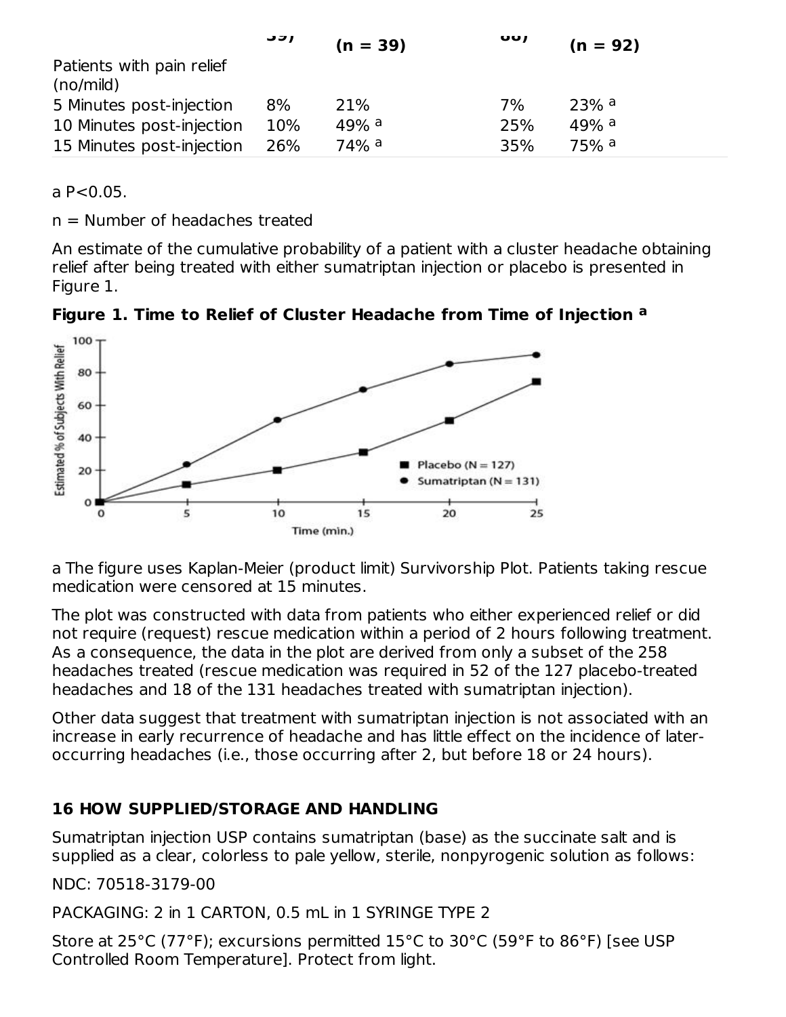|                                        | コフノ | $(n = 39)$         | $\mathbf{O} \mathbf{O}$ | $(n = 92)$         |
|----------------------------------------|-----|--------------------|-------------------------|--------------------|
| Patients with pain relief<br>(no/mild) |     |                    |                         |                    |
| 5 Minutes post-injection               | 8%  | 21%                | 7%                      | $23%$ <sup>a</sup> |
| 10 Minutes post-injection              | 10% | $49%$ <sup>a</sup> | 25%                     | $49%$ <sup>a</sup> |
| 15 Minutes post-injection              | 26% | 74% a              | 35%                     | $75%$ <sup>a</sup> |

a P<0.05.

n = Number of headaches treated

An estimate of the cumulative probability of a patient with a cluster headache obtaining relief after being treated with either sumatriptan injection or placebo is presented in Figure 1.





a The figure uses Kaplan-Meier (product limit) Survivorship Plot. Patients taking rescue medication were censored at 15 minutes.

The plot was constructed with data from patients who either experienced relief or did not require (request) rescue medication within a period of 2 hours following treatment. As a consequence, the data in the plot are derived from only a subset of the 258 headaches treated (rescue medication was required in 52 of the 127 placebo-treated headaches and 18 of the 131 headaches treated with sumatriptan injection).

Other data suggest that treatment with sumatriptan injection is not associated with an increase in early recurrence of headache and has little effect on the incidence of lateroccurring headaches (i.e., those occurring after 2, but before 18 or 24 hours).

## **16 HOW SUPPLIED/STORAGE AND HANDLING**

Sumatriptan injection USP contains sumatriptan (base) as the succinate salt and is supplied as a clear, colorless to pale yellow, sterile, nonpyrogenic solution as follows:

NDC: 70518-3179-00

PACKAGING: 2 in 1 CARTON, 0.5 mL in 1 SYRINGE TYPE 2

Store at 25°C (77°F); excursions permitted 15°C to 30°C (59°F to 86°F) [see USP Controlled Room Temperature]. Protect from light.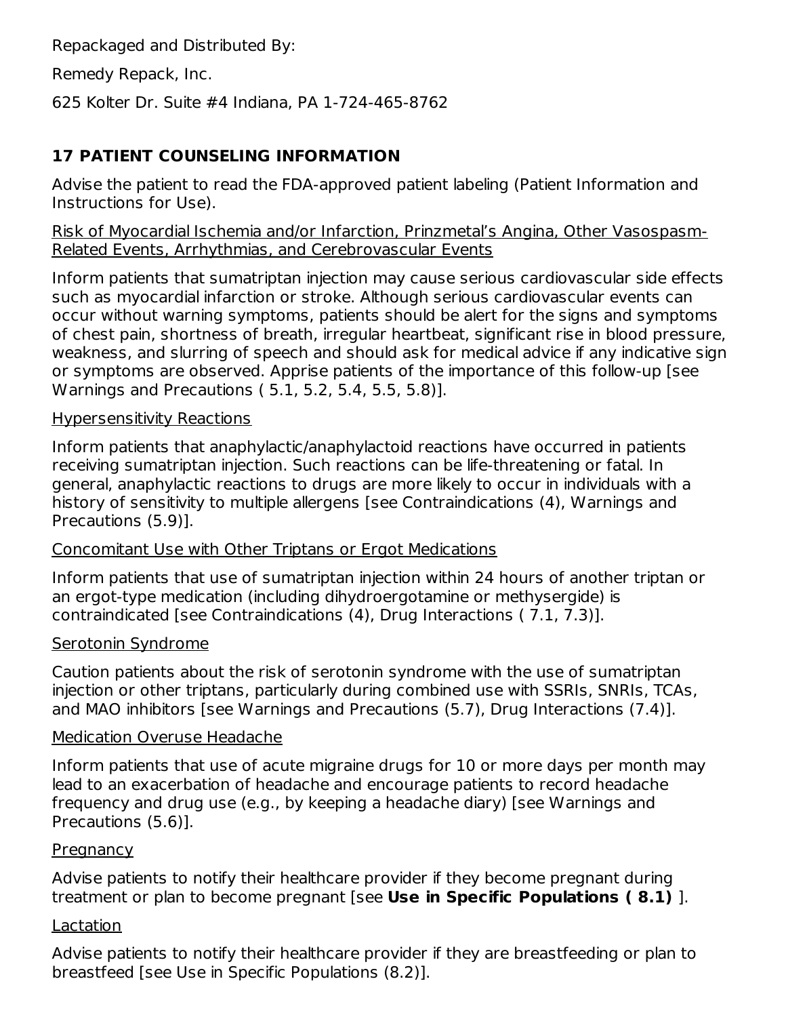Repackaged and Distributed By:

Remedy Repack, Inc.

625 Kolter Dr. Suite #4 Indiana, PA 1-724-465-8762

## **17 PATIENT COUNSELING INFORMATION**

Advise the patient to read the FDA-approved patient labeling (Patient Information and Instructions for Use).

#### Risk of Myocardial Ischemia and/or Infarction, Prinzmetal's Angina, Other Vasospasm-Related Events, Arrhythmias, and Cerebrovascular Events

Inform patients that sumatriptan injection may cause serious cardiovascular side effects such as myocardial infarction or stroke. Although serious cardiovascular events can occur without warning symptoms, patients should be alert for the signs and symptoms of chest pain, shortness of breath, irregular heartbeat, significant rise in blood pressure, weakness, and slurring of speech and should ask for medical advice if any indicative sign or symptoms are observed. Apprise patients of the importance of this follow-up [see Warnings and Precautions ( 5.1, 5.2, 5.4, 5.5, 5.8)].

#### Hypersensitivity Reactions

Inform patients that anaphylactic/anaphylactoid reactions have occurred in patients receiving sumatriptan injection. Such reactions can be life-threatening or fatal. In general, anaphylactic reactions to drugs are more likely to occur in individuals with a history of sensitivity to multiple allergens [see Contraindications (4), Warnings and Precautions (5.9)].

#### Concomitant Use with Other Triptans or Ergot Medications

Inform patients that use of sumatriptan injection within 24 hours of another triptan or an ergot-type medication (including dihydroergotamine or methysergide) is contraindicated [see Contraindications (4), Drug Interactions ( 7.1, 7.3)].

#### Serotonin Syndrome

Caution patients about the risk of serotonin syndrome with the use of sumatriptan injection or other triptans, particularly during combined use with SSRIs, SNRIs, TCAs, and MAO inhibitors [see Warnings and Precautions (5.7), Drug Interactions (7.4)].

#### Medication Overuse Headache

Inform patients that use of acute migraine drugs for 10 or more days per month may lead to an exacerbation of headache and encourage patients to record headache frequency and drug use (e.g., by keeping a headache diary) [see Warnings and Precautions (5.6)].

#### **Pregnancy**

Advise patients to notify their healthcare provider if they become pregnant during treatment or plan to become pregnant [see **Use in Specific Populations ( 8.1)** ].

#### Lactation

Advise patients to notify their healthcare provider if they are breastfeeding or plan to breastfeed [see Use in Specific Populations (8.2)].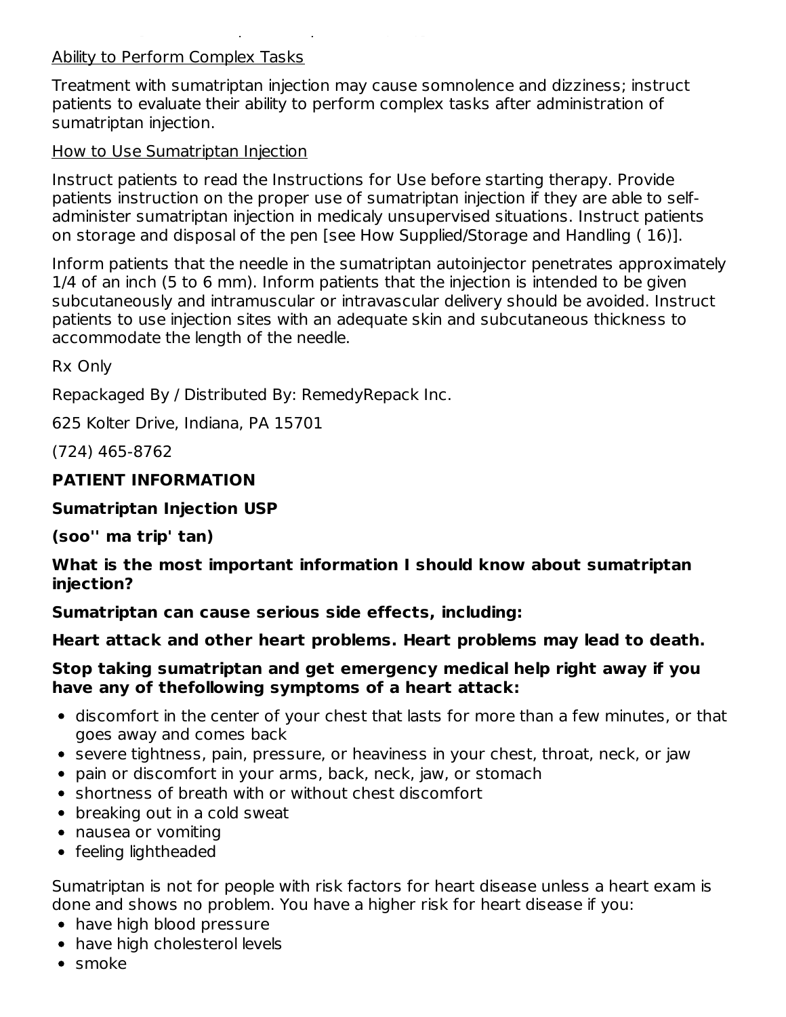#### Ability to Perform Complex Tasks

breastfeed [see Use in Specific Populations (8.2)].

Treatment with sumatriptan injection may cause somnolence and dizziness; instruct patients to evaluate their ability to perform complex tasks after administration of sumatriptan injection.

#### How to Use Sumatriptan Injection

Instruct patients to read the Instructions for Use before starting therapy. Provide patients instruction on the proper use of sumatriptan injection if they are able to selfadminister sumatriptan injection in medicaly unsupervised situations. Instruct patients on storage and disposal of the pen [see How Supplied/Storage and Handling ( 16)].

Inform patients that the needle in the sumatriptan autoinjector penetrates approximately 1/4 of an inch (5 to 6 mm). Inform patients that the injection is intended to be given subcutaneously and intramuscular or intravascular delivery should be avoided. Instruct patients to use injection sites with an adequate skin and subcutaneous thickness to accommodate the length of the needle.

Rx Only

Repackaged By / Distributed By: RemedyRepack Inc.

625 Kolter Drive, Indiana, PA 15701

(724) 465-8762

#### **PATIENT INFORMATION**

#### **Sumatriptan Injection USP**

**(soo'' ma trip' tan)**

**What is the most important information I should know about sumatriptan injection?**

**Sumatriptan can cause serious side effects, including:**

#### **Heart attack and other heart problems. Heart problems may lead to death.**

#### **Stop taking sumatriptan and get emergency medical help right away if you have any of thefollowing symptoms of a heart attack:**

- discomfort in the center of your chest that lasts for more than a few minutes, or that goes away and comes back
- severe tightness, pain, pressure, or heaviness in your chest, throat, neck, or jaw
- pain or discomfort in your arms, back, neck, jaw, or stomach
- shortness of breath with or without chest discomfort
- breaking out in a cold sweat
- nausea or vomiting
- feeling lightheaded

Sumatriptan is not for people with risk factors for heart disease unless a heart exam is done and shows no problem. You have a higher risk for heart disease if you:

- have high blood pressure
- have high cholesterol levels
- $\bullet$  smoke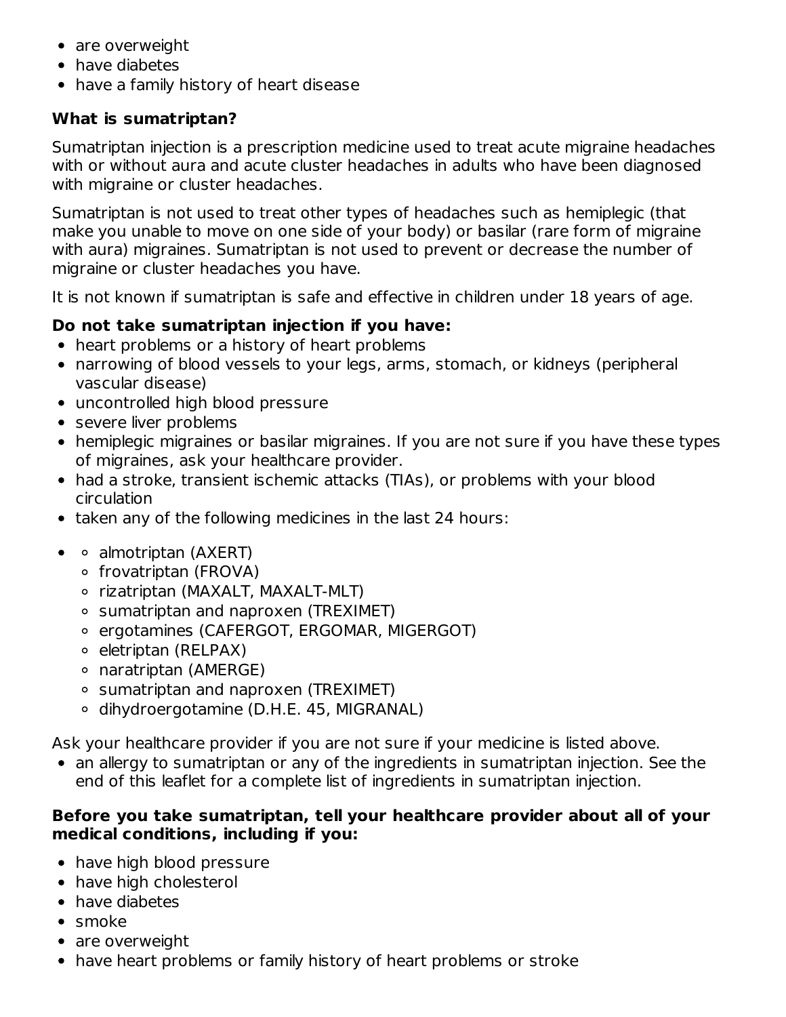- are overweight
- have diabetes
- have a family history of heart disease

#### **What is sumatriptan?**

Sumatriptan injection is a prescription medicine used to treat acute migraine headaches with or without aura and acute cluster headaches in adults who have been diagnosed with migraine or cluster headaches.

Sumatriptan is not used to treat other types of headaches such as hemiplegic (that make you unable to move on one side of your body) or basilar (rare form of migraine with aura) migraines. Sumatriptan is not used to prevent or decrease the number of migraine or cluster headaches you have.

It is not known if sumatriptan is safe and effective in children under 18 years of age.

#### **Do not take sumatriptan injection if you have:**

- heart problems or a history of heart problems
- narrowing of blood vessels to your legs, arms, stomach, or kidneys (peripheral vascular disease)
- uncontrolled high blood pressure
- severe liver problems
- hemiplegic migraines or basilar migraines. If you are not sure if you have these types of migraines, ask your healthcare provider.
- had a stroke, transient ischemic attacks (TIAs), or problems with your blood circulation
- taken any of the following medicines in the last 24 hours:
- $\bullet$   $\circ$  almotriptan (AXERT)
	- o frovatriptan (FROVA)
	- rizatriptan (MAXALT, MAXALT-MLT)
	- sumatriptan and naproxen (TREXIMET)
	- ergotamines (CAFERGOT, ERGOMAR, MIGERGOT)
	- o eletriptan (RELPAX)
	- naratriptan (AMERGE)
	- sumatriptan and naproxen (TREXIMET)
	- dihydroergotamine (D.H.E. 45, MIGRANAL)

Ask your healthcare provider if you are not sure if your medicine is listed above.

• an allergy to sumatriptan or any of the ingredients in sumatriptan injection. See the end of this leaflet for a complete list of ingredients in sumatriptan injection.

#### **Before you take sumatriptan, tell your healthcare provider about all of your medical conditions, including if you:**

- have high blood pressure
- have high cholesterol
- have diabetes
- smoke
- are overweight
- have heart problems or family history of heart problems or stroke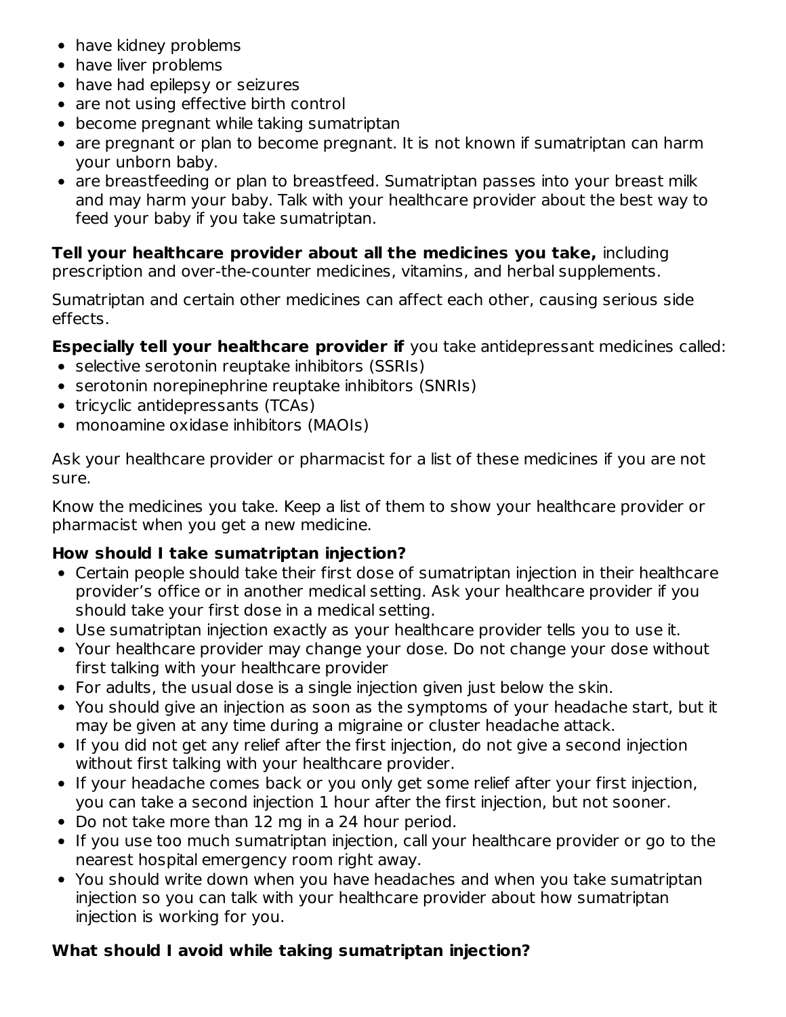- have kidney problems
- have liver problems
- have had epilepsy or seizures
- are not using effective birth control
- become pregnant while taking sumatriptan
- are pregnant or plan to become pregnant. It is not known if sumatriptan can harm your unborn baby.
- are breastfeeding or plan to breastfeed. Sumatriptan passes into your breast milk and may harm your baby. Talk with your healthcare provider about the best way to feed your baby if you take sumatriptan.

# **Tell your healthcare provider about all the medicines you take,** including

prescription and over-the-counter medicines, vitamins, and herbal supplements.

Sumatriptan and certain other medicines can affect each other, causing serious side effects.

## **Especially tell your healthcare provider if** you take antidepressant medicines called:

- selective serotonin reuptake inhibitors (SSRIs)
- serotonin norepinephrine reuptake inhibitors (SNRIs)
- tricyclic antidepressants (TCAs)
- monoamine oxidase inhibitors (MAOIs)

Ask your healthcare provider or pharmacist for a list of these medicines if you are not sure.

Know the medicines you take. Keep a list of them to show your healthcare provider or pharmacist when you get a new medicine.

## **How should I take sumatriptan injection?**

- Certain people should take their first dose of sumatriptan injection in their healthcare provider's office or in another medical setting. Ask your healthcare provider if you should take your first dose in a medical setting.
- Use sumatriptan injection exactly as your healthcare provider tells you to use it.
- Your healthcare provider may change your dose. Do not change your dose without first talking with your healthcare provider
- For adults, the usual dose is a single injection given just below the skin.
- You should give an injection as soon as the symptoms of your headache start, but it may be given at any time during a migraine or cluster headache attack.
- If you did not get any relief after the first injection, do not give a second injection without first talking with your healthcare provider.
- If your headache comes back or you only get some relief after your first injection, you can take a second injection 1 hour after the first injection, but not sooner.
- Do not take more than 12 mg in a 24 hour period.
- If you use too much sumatriptan injection, call your healthcare provider or go to the nearest hospital emergency room right away.
- You should write down when you have headaches and when you take sumatriptan injection so you can talk with your healthcare provider about how sumatriptan injection is working for you.

## **What should I avoid while taking sumatriptan injection?**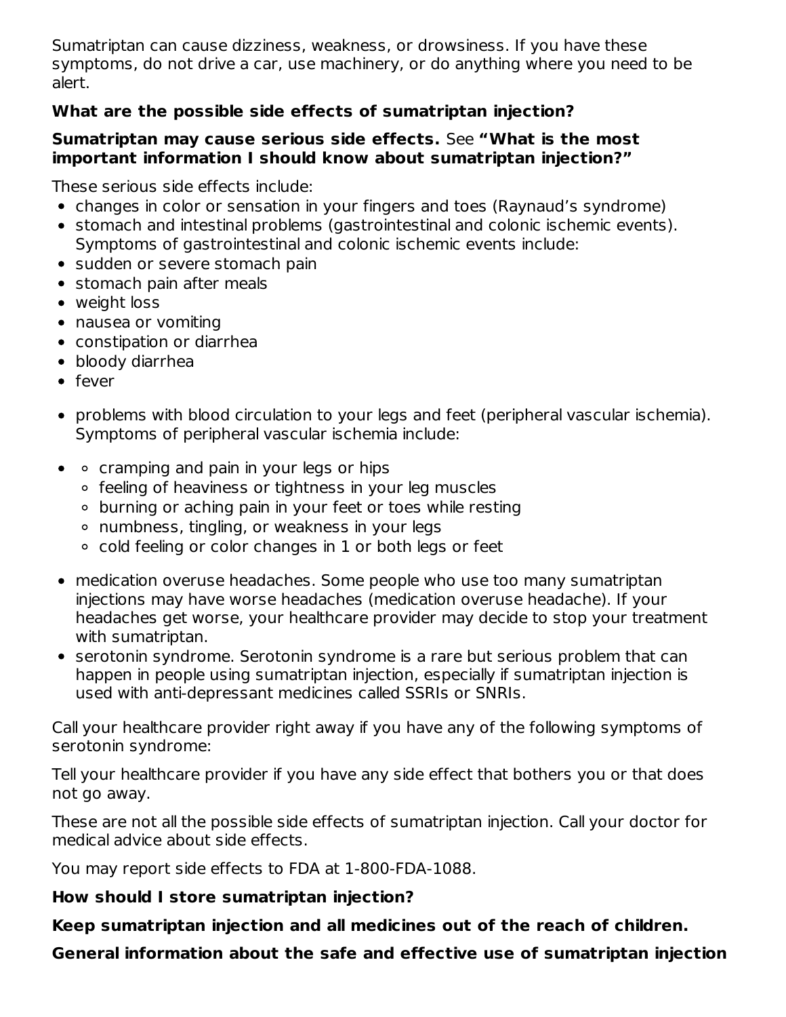Sumatriptan can cause dizziness, weakness, or drowsiness. If you have these symptoms, do not drive a car, use machinery, or do anything where you need to be alert.

### **What are the possible side effects of sumatriptan injection?**

#### **Sumatriptan may cause serious side effects.** See **"What is the most important information I should know about sumatriptan injection?"**

These serious side effects include:

- changes in color or sensation in your fingers and toes (Raynaud's syndrome)
- stomach and intestinal problems (gastrointestinal and colonic ischemic events). Symptoms of gastrointestinal and colonic ischemic events include:
- sudden or severe stomach pain
- stomach pain after meals
- weight loss
- nausea or vomiting
- constipation or diarrhea
- bloody diarrhea
- fever
- problems with blood circulation to your legs and feet (peripheral vascular ischemia). Symptoms of peripheral vascular ischemia include:
- $\bullet$   $\circ$  cramping and pain in your legs or hips
	- feeling of heaviness or tightness in your leg muscles
	- ∘ burning or aching pain in your feet or toes while resting
	- numbness, tingling, or weakness in your legs
	- cold feeling or color changes in 1 or both legs or feet
- medication overuse headaches. Some people who use too many sumatriptan injections may have worse headaches (medication overuse headache). If your headaches get worse, your healthcare provider may decide to stop your treatment with sumatriptan.
- serotonin syndrome. Serotonin syndrome is a rare but serious problem that can happen in people using sumatriptan injection, especially if sumatriptan injection is used with anti-depressant medicines called SSRIs or SNRIs.

Call your healthcare provider right away if you have any of the following symptoms of serotonin syndrome:

Tell your healthcare provider if you have any side effect that bothers you or that does not go away.

These are not all the possible side effects of sumatriptan injection. Call your doctor for medical advice about side effects.

You may report side effects to FDA at 1-800-FDA-1088.

#### **How should I store sumatriptan injection?**

**Keep sumatriptan injection and all medicines out of the reach of children.**

**General information about the safe and effective use of sumatriptan injection**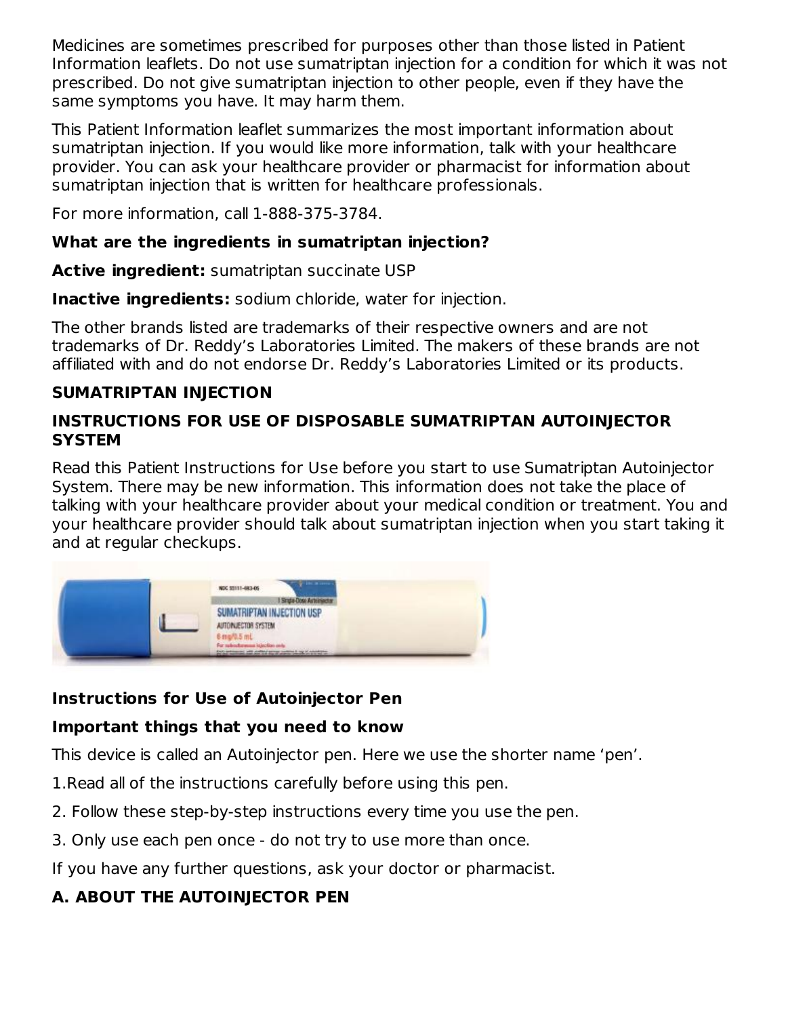Medicines are sometimes prescribed for purposes other than those listed in Patient Information leaflets. Do not use sumatriptan injection for a condition for which it was not prescribed. Do not give sumatriptan injection to other people, even if they have the same symptoms you have. It may harm them.

This Patient Information leaflet summarizes the most important information about sumatriptan injection. If you would like more information, talk with your healthcare provider. You can ask your healthcare provider or pharmacist for information about sumatriptan injection that is written for healthcare professionals.

For more information, call 1-888-375-3784.

#### **What are the ingredients in sumatriptan injection?**

**Active ingredient:** sumatriptan succinate USP

**Inactive ingredients:** sodium chloride, water for injection.

The other brands listed are trademarks of their respective owners and are not trademarks of Dr. Reddy's Laboratories Limited. The makers of these brands are not affiliated with and do not endorse Dr. Reddy's Laboratories Limited or its products.

#### **SUMATRIPTAN INJECTION**

### **INSTRUCTIONS FOR USE OF DISPOSABLE SUMATRIPTAN AUTOINJECTOR SYSTEM**

Read this Patient Instructions for Use before you start to use Sumatriptan Autoinjector System. There may be new information. This information does not take the place of talking with your healthcare provider about your medical condition or treatment. You and your healthcare provider should talk about sumatriptan injection when you start taking it and at regular checkups.



## **Instructions for Use of Autoinjector Pen**

## **Important things that you need to know**

This device is called an Autoinjector pen. Here we use the shorter name 'pen'.

- 1.Read all of the instructions carefully before using this pen.
- 2. Follow these step-by-step instructions every time you use the pen.
- 3. Only use each pen once do not try to use more than once.

If you have any further questions, ask your doctor or pharmacist.

## **A. ABOUT THE AUTOINJECTOR PEN**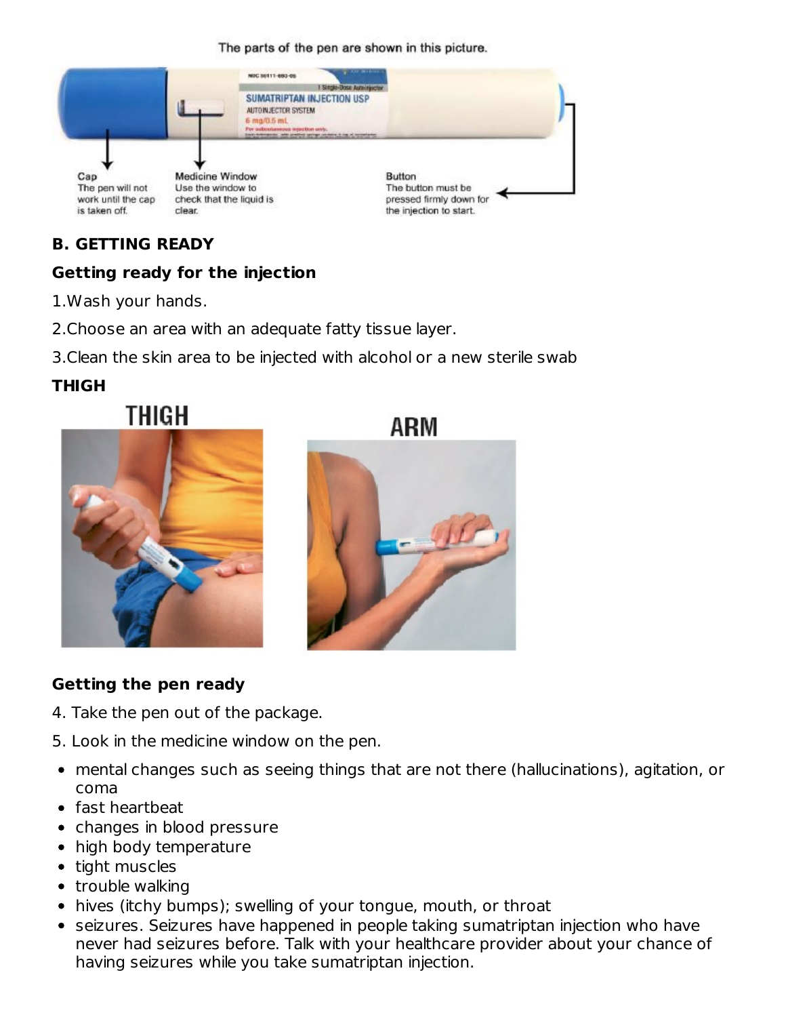The parts of the pen are shown in this picture.



## **B. GETTING READY**

## **Getting ready for the injection**

- 1.Wash your hands.
- 2.Choose an area with an adequate fatty tissue layer.
- 3.Clean the skin area to be injected with alcohol or a new sterile swab

### **THIGH**

# THIGH





#### **Getting the pen ready**

- 4. Take the pen out of the package.
- 5. Look in the medicine window on the pen.
- mental changes such as seeing things that are not there (hallucinations), agitation, or coma
- fast heartbeat
- changes in blood pressure
- high body temperature
- tight muscles
- $\bullet$  trouble walking
- hives (itchy bumps); swelling of your tongue, mouth, or throat
- seizures. Seizures have happened in people taking sumatriptan injection who have never had seizures before. Talk with your healthcare provider about your chance of having seizures while you take sumatriptan injection.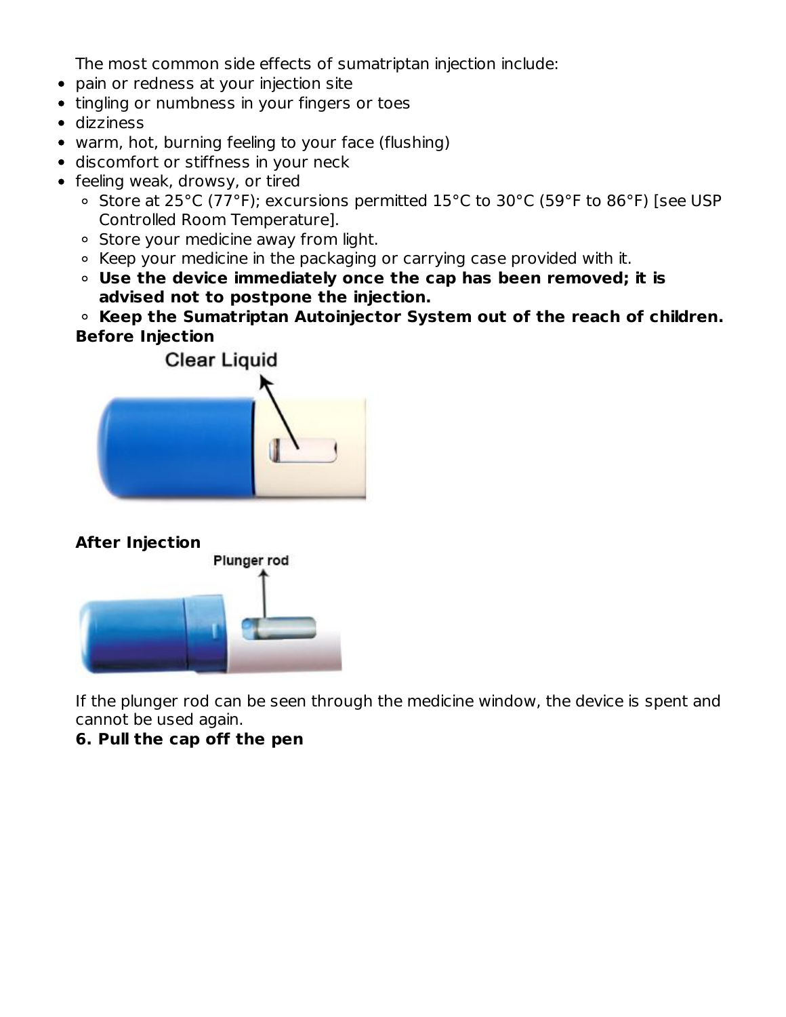The most common side effects of sumatriptan injection include:

- pain or redness at your injection site
- tingling or numbness in your fingers or toes
- dizziness
- warm, hot, burning feeling to your face (flushing)
- discomfort or stiffness in your neck
- feeling weak, drowsy, or tired
	- Store at 25°C (77°F); excursions permitted 15°C to 30°C (59°F to 86°F) [see USP Controlled Room Temperature].
	- Store your medicine away from light.
	- Keep your medicine in the packaging or carrying case provided with it.
	- **Use the device immediately once the cap has been removed; it is advised not to postpone the injection.**
	- **Keep the Sumatriptan Autoinjector System out of the reach of children. Before Injection**



#### **After Injection**



If the plunger rod can be seen through the medicine window, the device is spent and cannot be used again.

#### **6. Pull the cap off the pen**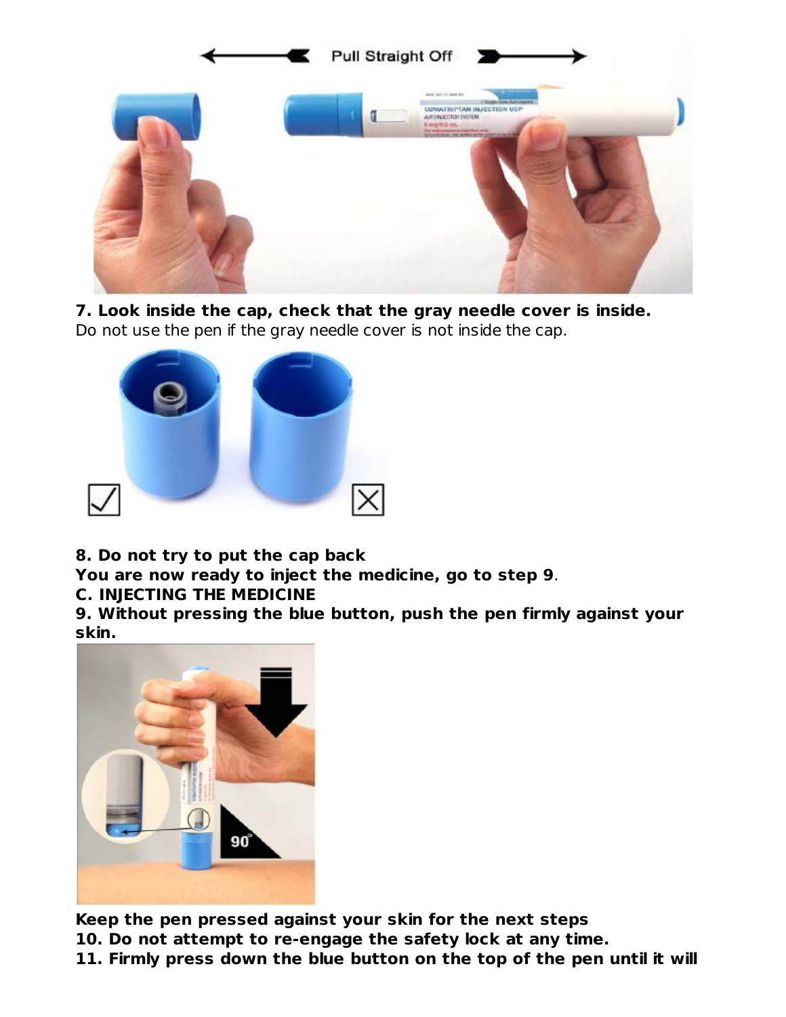

**7. Look inside the cap, check that the gray needle cover is inside.** Do not use the pen if the gray needle cover is not inside the cap.



**8. Do not try to put the cap back**

**You are now ready to inject the medicine, go to step 9**.

**C. INJECTING THE MEDICINE**

**9. Without pressing the blue button, push the pen firmly against your skin.**



**Keep the pen pressed against your skin for the next steps**

- **10. Do not attempt to re-engage the safety lock at any time.**
- **11. Firmly press down the blue button on the top of the pen until it will**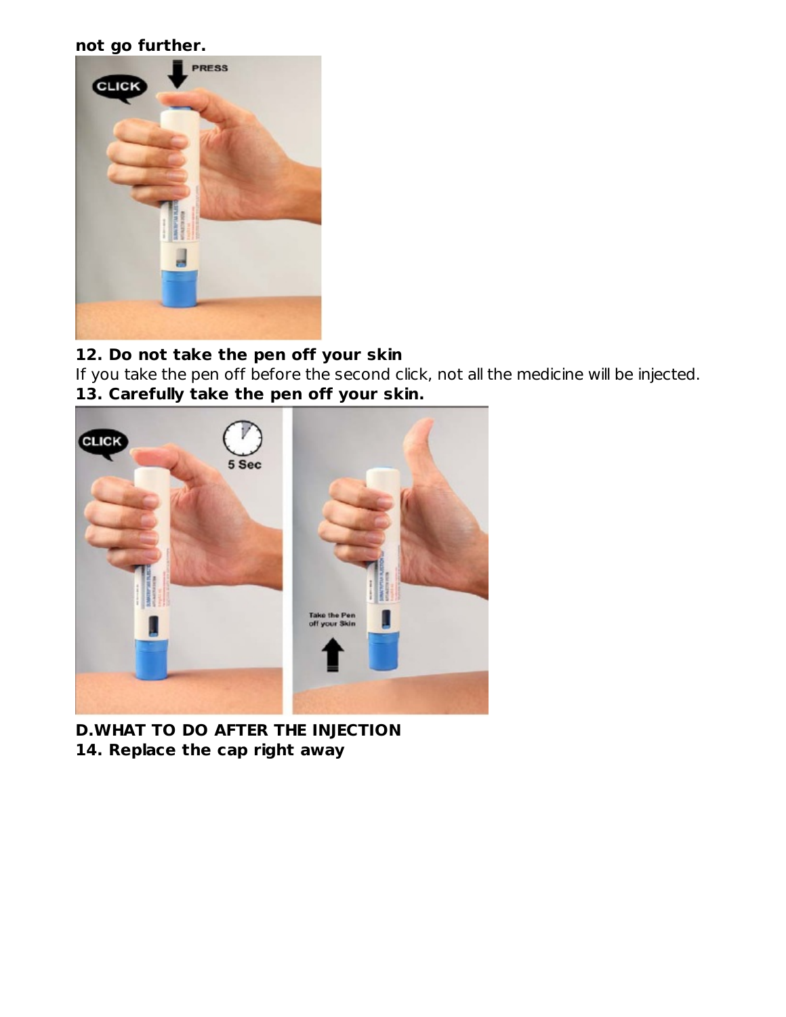# **not go further.**



#### **12. Do not take the pen off your skin**

If you take the pen off before the second click, not all the medicine will be injected. **13. Carefully take the pen off your skin.**



**D.WHAT TO DO AFTER THE INJECTION 14. Replace the cap right away**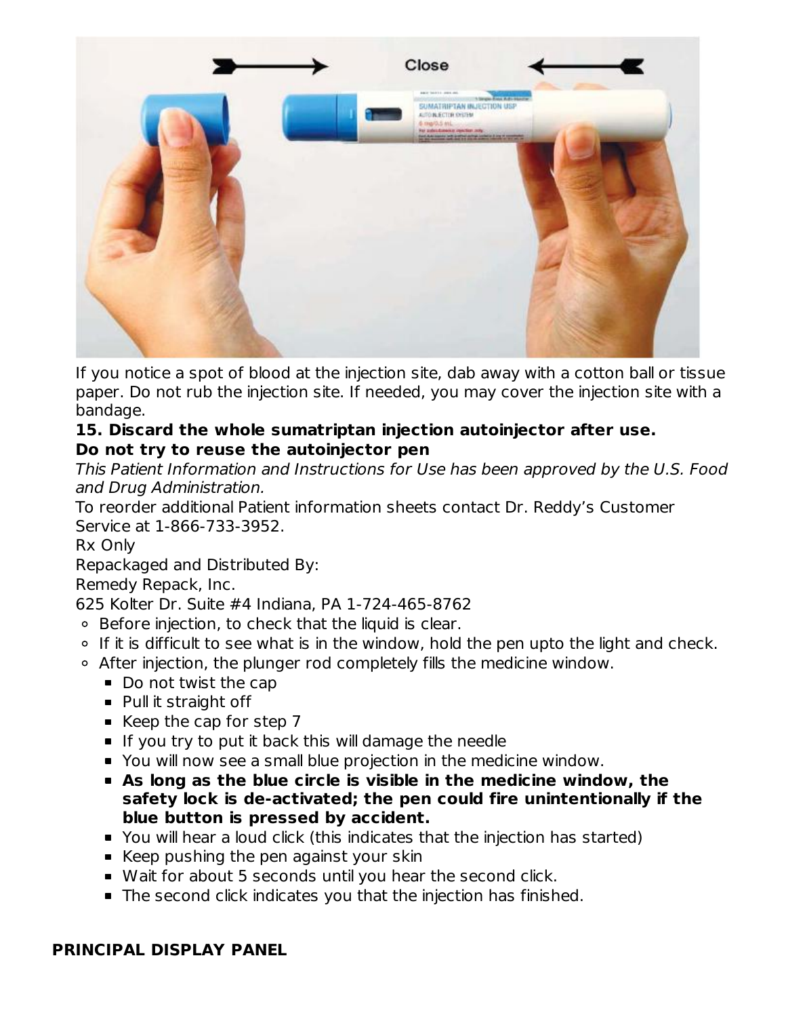

If you notice a spot of blood at the injection site, dab away with a cotton ball or tissue paper. Do not rub the injection site. If needed, you may cover the injection site with a bandage.

#### **15. Discard the whole sumatriptan injection autoinjector after use. Do not try to reuse the autoinjector pen**

This Patient Information and Instructions for Use has been approved by the U.S. Food and Drug Administration.

To reorder additional Patient information sheets contact Dr. Reddy's Customer Service at 1-866-733-3952.

Rx Only

Repackaged and Distributed By:

Remedy Repack, Inc.

625 Kolter Dr. Suite #4 Indiana, PA 1-724-465-8762

- Before injection, to check that the liquid is clear.
- $\circ$  If it is difficult to see what is in the window, hold the pen upto the light and check.
- After injection, the plunger rod completely fills the medicine window.
	- Do not twist the cap
	- Pull it straight off
	- Keep the cap for step 7
	- If you try to put it back this will damage the needle
	- You will now see a small blue projection in the medicine window.
	- **As long as the blue circle is visible in the medicine window, the safety lock is de-activated; the pen could fire unintentionally if the blue button is pressed by accident.**
	- You will hear a loud click (this indicates that the injection has started)
	- **Keep pushing the pen against your skin**
	- Wait for about 5 seconds until you hear the second click.
	- The second click indicates you that the injection has finished.

#### **PRINCIPAL DISPLAY PANEL**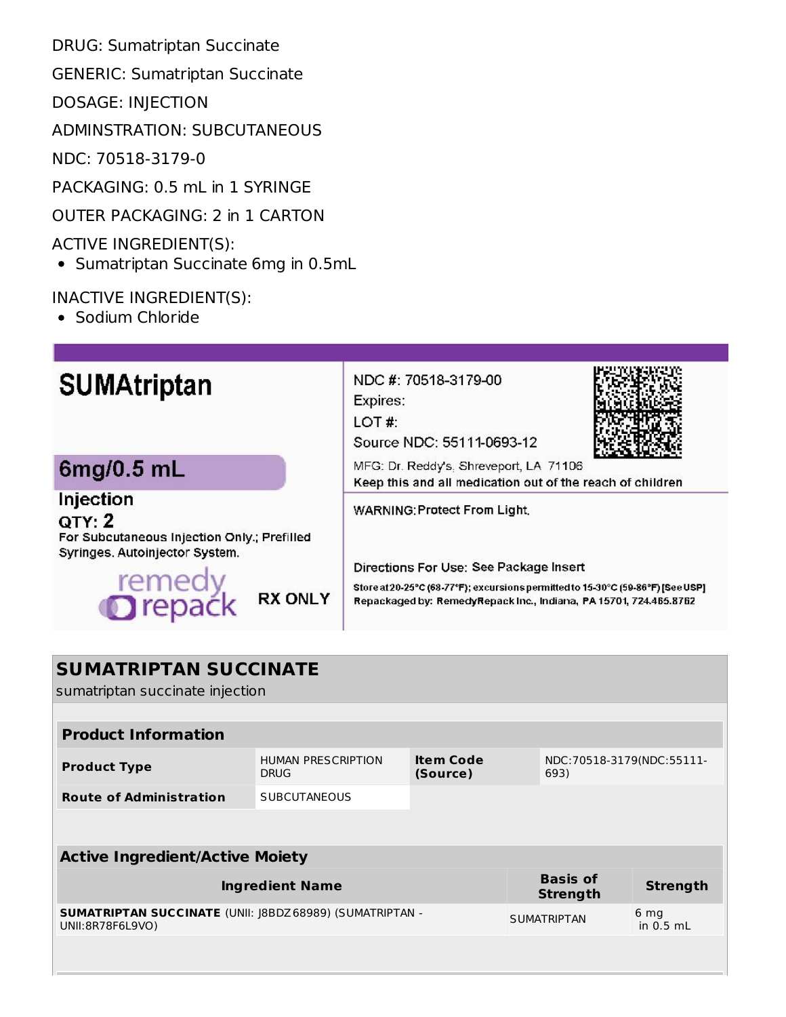DRUG: Sumatriptan Succinate

GENERIC: Sumatriptan Succinate

DOSAGE: INJECTION

ADMINSTRATION: SUBCUTANEOUS

NDC: 70518-3179-0

PACKAGING: 0.5 mL in 1 SYRINGE

OUTER PACKAGING: 2 in 1 CARTON

ACTIVE INGREDIENT(S):

• Sumatriptan Succinate 6mg in 0.5mL

INACTIVE INGREDIENT(S):

• Sodium Chloride



sumatriptan succinate injection

| <b>Product Information</b>                                                          |                                          |                              |                                    |                                |  |  |  |
|-------------------------------------------------------------------------------------|------------------------------------------|------------------------------|------------------------------------|--------------------------------|--|--|--|
| <b>Product Type</b>                                                                 | <b>HUMAN PRESCRIPTION</b><br><b>DRUG</b> | <b>Item Code</b><br>(Source) | 693)                               | NDC:70518-3179(NDC:55111-      |  |  |  |
| <b>Route of Administration</b>                                                      | <b>SUBCUTANEOUS</b>                      |                              |                                    |                                |  |  |  |
|                                                                                     |                                          |                              |                                    |                                |  |  |  |
| <b>Active Ingredient/Active Moiety</b>                                              |                                          |                              |                                    |                                |  |  |  |
|                                                                                     | <b>Ingredient Name</b>                   |                              | <b>Basis of</b><br><b>Strength</b> | <b>Strength</b>                |  |  |  |
| <b>SUMATRIPTAN SUCCINATE (UNII: 18BDZ 68989) (SUMATRIPTAN -</b><br>UNII:8R78F6L9VO) |                                          |                              | <b>SUMATRIPTAN</b>                 | 6 <sub>mg</sub><br>in $0.5$ mL |  |  |  |
|                                                                                     |                                          |                              |                                    |                                |  |  |  |